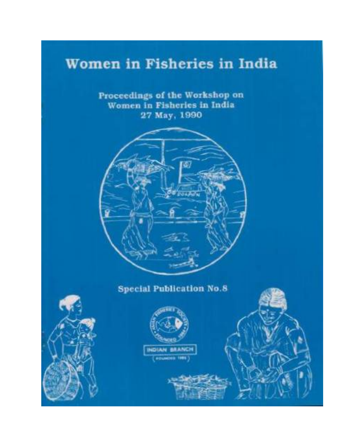# Women in Fisheries in India

Proceedings of the Workshop on Women in Fisheries in India 27 May, 1990



## **Special Publication No.8**





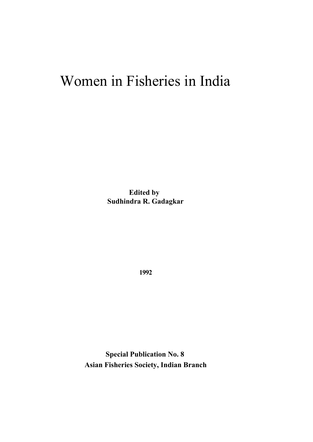# Women in Fisheries in India

**Edited by Sudhindra R. Gadagkar**

**1992**

**Special Publication No. 8 Asian Fisheries Society, Indian Branch**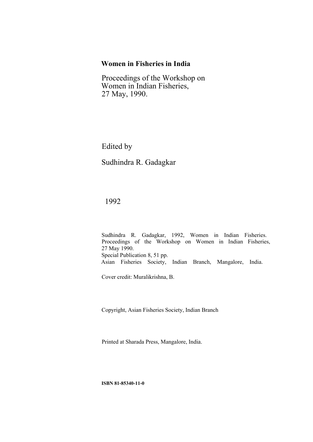### **Women in Fisheries in India**

Proceedings of the Workshop on Women in Indian Fisheries, 27 May, 1990.

Edited by

Sudhindra R. Gadagkar

1992

Sudhindra R. Gadagkar, 1992, Women in Indian Fisheries. Proceedings of the Workshop on Women in Indian Fisheries, 27 May 1990. Special Publication 8, 51 pp. Asian Fisheries Society, Indian Branch, Mangalore, India.

Cover credit: Muralikrishna, B.

Copyright, Asian Fisheries Society, Indian Branch

Printed at Sharada Press, Mangalore, India.

**ISBN 81-85340-11-0**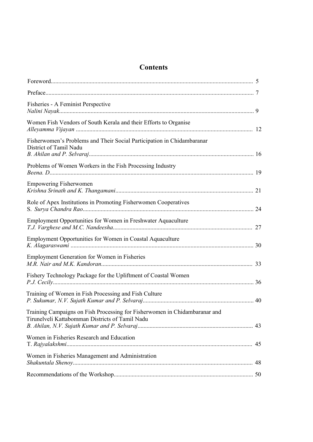### **Contents**

| Fisheries - A Feminist Perspective                                                                                            |    |
|-------------------------------------------------------------------------------------------------------------------------------|----|
| Women Fish Vendors of South Kerala and their Efforts to Organise                                                              |    |
| Fisherwomen's Problems and Their Social Participation in Chidambaranar<br>District of Tamil Nadu                              |    |
| Problems of Women Workers in the Fish Processing Industry                                                                     |    |
| <b>Empowering Fisherwomen</b>                                                                                                 |    |
| Role of Apex Institutions in Promoting Fisherwomen Cooperatives                                                               |    |
| Employment Opportunities for Women in Freshwater Aquaculture                                                                  |    |
| Employment Opportunities for Women in Coastal Aquaculture                                                                     |    |
| <b>Employment Generation for Women in Fisheries</b>                                                                           |    |
| Fishery Technology Package for the Upliftment of Coastal Women                                                                |    |
| Training of Women in Fish Processing and Fish Culture                                                                         |    |
| Training Campaigns on Fish Processing for Fisherwomen in Chidambaranar and<br>Tirunelveli Kattabomman Districts of Tamil Nadu |    |
| Women in Fisheries Research and Education                                                                                     | 45 |
| Women in Fisheries Management and Administration                                                                              |    |
|                                                                                                                               |    |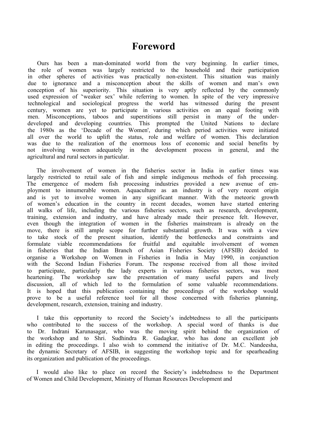### <span id="page-4-0"></span>**Foreword**

Ours has been a man-dominated world from the very beginning. In earlier times, the role of women was largely restricted to the household and their participation in other spheres of activities was practically non-existent. This situation was mainly due to ignorance and a misconception about the skills of women and man's own conception of his superiority. This situation is very aptly reflected by the commonly used expression of "weaker sex' while referring to women. In spite of the very impressive technological and sociological progress the world has witnessed during the present century, women are yet to participate in various activities on an equal footing with men. Misconceptions, taboos and superstitions still persist in many of the underdeveloped and developing countries. This prompted the United Nations to declare the 1980s as the 'Decade of the Women', during which period activities were initiated all over the world to uplift the status, role and welfare of women. This declaration was due to the realization of the enormous loss of economic and social benefits by not involving women adequately in the development process in general, and the agricultural and rural sectors in particular.

The involvement of women in the fisheries sector in India in earlier times was largely restricted to retail sale of fish and simple indigenous methods of fish processing. The emergence of modern fish processing industries provided a new avenue of employment to innumerable women. Aquaculture as an industry is of very recent origin and is yet to involve women in any significant manner. With the meteoric growth of women's education in the country in recent decades, women have started entering all walks of life, including the various fisheries sectors, such as research, development, training, extension and industry, and have already made their presence felt. However, even though the integration of women in the fisheries mainstream is already on the move, there is still ample scope for further substantial growth. It was with a view to take stock of the present situation, identify the bottlenecks and constraints and formulate viable recommendations for fruitful and equitable involvement of women in fisheries that the Indian Branch of Asian Fisheries Society (AFSIB) decided to organise a Workshop on Women in Fisheries in India in May 1990, in conjunction with the Second Indian Fisheries Forum. The response received from all those invited to participate, particularly the lady experts in various fisheries sectors, was most heartening. The workshop saw the presentation of many useful papers and lively discussion, all of which led to the formulation of some valuable recommendations. It is hoped that this publication containing the proceedings of the workshop would prove to be a useful reference tool for all those concerned with fisheries planning, development, research, extension, training and industry.

I take this opportunity to record the Society's indebtedness to all the participants who contributed to the success of the workshop. A special word of thanks is due to Dr. Indrani Karunasagar, who was the moving spirit behind the organization of the workshop and to Shri. Sudhindra R. Gadagkar, who has done an excellent job in editing the proceedings. I also wish to commend the initiative of Dr. M.C. Nandeesha, the dynamic Secretary of AFSIB, in suggesting the workshop topic and for spearheading its organization and publication of the proceedings.

I would also like to place on record the Society's indebtedness to the Department of Women and Child Development, Ministry of Human Resources Development and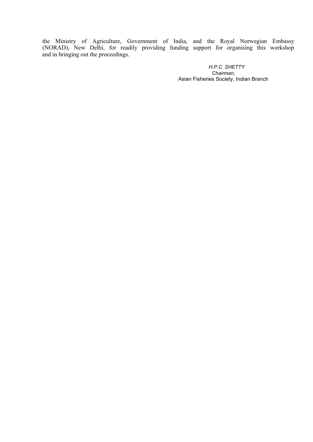the Ministry of Agriculture, Government of India, and the Royal Norwegian Embassy (NORAD), New Delhi, for readily providing funding support for organising this workshop and in bringing out the proceedings.

> *H.P.C. SHETTY Chairman,* Asian Fisheries Society, Indian Branch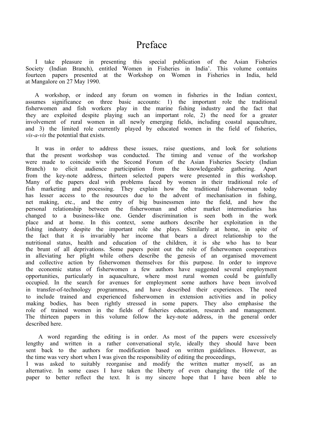## <span id="page-6-0"></span>Preface

I take pleasure in presenting this special publication of the Asian Fisheries Society (Indian Branch), entitled Women in Fisheries in India'. This volume contains fourteen papers presented at the Workshop on Women in Fisheries in India, held at Mangalore on 27 May 1990.

A workshop, or indeed any forum on women in fisheries in the Indian context, assumes significance on three basic accounts: 1) the important role the traditional fisherwomen and fish workers play in the marine fishing industry and the fact that they are exploited despite playing such an important role, 2) the need for a greater involvement of rural women in all newly emerging fields, including coastal aquaculture, and 3) the limited role currently played by educated women in the field of fisheries, *vis-a-vis* the potential that exists.

It was in order to address these issues, raise questions, and look for solutions that the present workshop was conducted. The timing and venue of the workshop were made to coincide with the Second Forum of the Asian Fisheries Society (Indian Branch) to elicit audience participation from the knowledgeable gathering. Apart from the key-note address, thirteen selected papers were presented in this workshop. Many of the papers deal with problems faced by women in their traditional role of fish marketing and processing. They explain how the traditional fisherwoman today has lesser access to the resources due to the advent of mechanisation in fishing, net making, etc., and the entry of big businessmen into the field, and how the personal relationship between the fisherwoman and other market intermediaries has changed to a business-like one. Gender discrimination is seen both in the work place and at home. In this context, some authors describe her exploitation in the fishing industry despite the important role she plays. Similarly at home, in spite of the fact that it is invariably her income that bears a direct relationship to the nutritional status, health and education of the children, it is she who has to bear the brunt of all deprivations. Some papers point out the role of fisherwomen cooperatives in alleviating her plight while others describe the genesis of an organised movement and collective action by fisherwomen themselves for this purpose. In order to improve the economic status of fisherwomen a few authors have suggested several employment opportunities, particularly in aquaculture, where most rural women could be gainfully occupied. In the search for avenues for employment some authors have been involved in transfer-of-technology programmes, and have described their experiences. The need to include trained and experienced fisherwomen in extension activities and in policy making bodies, has been rightly stressed in some papers. They also emphasise the role of trained women in the fields of fisheries education, research and management. The thirteen papers in this volume follow the key-note address, in the general order described here.

A word regarding the editing is in order. As most of the papers were excessively lengthy and written in a rather conversational style, ideally they should have been sent back to the authors for modification based on written guidelines. However, as the time was very short when I was given the responsibility of editing the proceedings, I was asked to suitably reorganise and modify the written matter myself, as an alternative. In some cases I have taken the liberty of even changing the title of the paper to better reflect the text. It is my sincere hope that I have been able to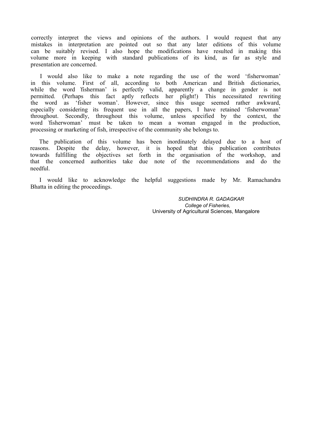correctly interpret the views and opinions of the authors. I would request that any mistakes in interpretation are pointed out so that any later editions of this volume can be suitably revised. I also hope the modifications have resulted in making this volume more in keeping with standard publications of its kind, as far as style and presentation are concerned.

I would also like to make a note regarding the use of the word 'fisherwoman' in this volume. First of all, according to both American and British dictionaries, while the word 'fisherman' is perfectly valid, apparently a change in gender is not permitted. (Perhaps this fact aptly reflects her plight!) This necessitated rewriting the word as 'fisher woman'. However, since this usage seemed rather awkward, especially considering its frequent use in all the papers, I have retained 'fisherwoman' throughout. Secondly, throughout this volume, unless specified by the context, the word 'fisherwoman' must be taken to mean a woman engaged in the production, processing or marketing of fish, irrespective of the community she belongs to.

The publication of this volume has been inordinately delayed due to a host of reasons. Despite the delay, however, it is hoped that this publication contributes towards fulfilling the objectives set forth in the organisation of the workshop, and that the concerned authorities take due note of the recommendations and do the needful.

I would like to acknowledge the helpful suggestions made by Mr. Ramachandra Bhatta in editing the proceedings.

> *SUDHINDRA R. GADAGKAR College of Fisheries,* University of Agricultural Sciences, Mangalore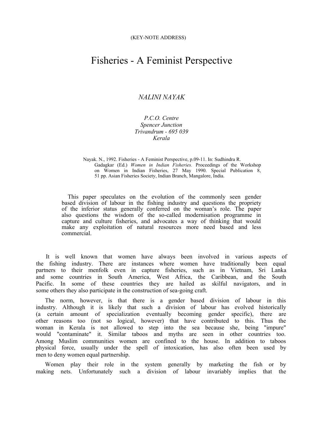### Fisheries - A Feminist Perspective

### <span id="page-8-0"></span>*NALINI NAYAK*

*P.C.O. Centre Spencer Junction Trivandrum - 695 039 Kerala*

Nayak. N., 1992. Fisheries - A Feminist Perspective, p.09-11. In: Sudhindra R. Gadagkar (Ed.) *Women in Indian Fisheries.* Proceedings of the Workshop on Women in Indian Fisheries, 27 May 1990. Special Publication 8, 51 pp. Asian Fisheries Society, Indian Branch, Mangalore, India.

This paper speculates on the evolution of the commonly seen gender based division of labour in the fishing industry and questions the propriety of the inferior status generally conferred on the woman's role. The paper also questions the wisdom of the so-called modernisation programme in capture and culture fisheries, and advocates a way of thinking that would make any exploitation of natural resources more need based and less commercial.

It is well known that women have always been involved in various aspects of the fishing industry. There are instances where women have traditionally been equal partners to their menfolk even in capture fisheries, such as in Vietnam, Sri Lanka and some countries in South America, West Africa, the Caribbean, and the South Pacific. In some of these countries they are hailed as skilful navigators, and in some others they also participate in the construction of sea-going craft.

The norm, however, is that there is a gender based division of labour in this industry. Although it is likely that such a division of labour has evolved historically (a certain amount of specialization eventually becoming gender specific), there are other reasons too (not so logical, however) that have contributed to this. Thus the woman in Kerala is not allowed to step into the sea because she, being "impure" would "contaminate" it. Similar taboos and myths are seen in other countries too. Among Muslim communities women are confined to the house. In addition to taboos physical force, usually under the spell of intoxication, has also often been used by men to deny women equal partnership.

Women play their role in the system generally by marketing the fish or by making nets. Unfortunately such a division of labour invariably implies that the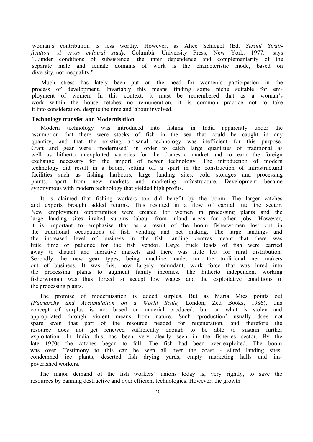woman's contribution is less worthy. However, as Alice Schlegel (Ed. *Sexual Stratification: A cross cultural study.* Columbia University Press, New York. 1977.) says "...under conditions of subsistence, the inter dependence and complementarity of the separate male and female domains of work is the characteristic mode, based on diversity, not inequality."

Much stress has lately been put on the need for women's participation in the process of development. Invariably this means finding some niche suitable for employment of women. In this context, it must be remembered that as a woman's work within the house fetches no remuneration, it is common practice not to take it into consideration, despite the time and labour involved.

#### **Technology transfer and Modernisation**

Modern technology was introduced into fishing in India apparently under the assumption that there were stocks of fish in the sea that could be caught in any quantity, and that the existing artisanal technology was inefficient for this purpose. Craft and gear were 'modernised' in order to catch large quantities of traditional as well as hitherto unexploited varieties for the domestic market and to earn the foreign exchange necessary for the import of newer technology. The introduction of modern technology did result in a boom, setting off a spurt in the construction of infrastructural facilities such as fishing harbours, large landing sites, cold storages and processing plants, apart from new markets and marketing infrastructure. Development became synonymous with modern technology that yielded high profits.

It is claimed that fishing workers too did benefit by the boom. The larger catches and exports brought added returns. This resulted in a flow of capital into the sector. New employment opportunities were created for women in processing plants and the large landing sites invited surplus labour from inland areas for other jobs. However, it is important to emphasise that as a result of the boom fisherwomen lost out in the traditional occupations of fish vending and net making. The large landings and the increased level of business in the fish landing centres meant that there was little time or patience for the fish vendor. Large truck loads of fish were carried away to distant and lucrative markets and there was little left for rural distribution. Secondly the new gear types, being machine made, ran the traditional net makers out of business. It was this, now largely redundant, work force that was lured into the processing plants to augment family incomes. The hitherto independent working fisherwoman was thus forced to accept low wages and the exploitative conditions of the processing plants.

The promise of modernisation is added surplus. But as Maria Mies points out *(Patriarchy and Accumulation on a World Scale,* London, Zed Books, 1986), this concept of surplus is not based on material produced, but on what is stolen and appropriated through violent means from nature. Such 'production' usually does not spare even that part of the resource needed for regeneration, and therefore the resource does not get renewed sufficiently enough to be able to sustain further exploitation. In India this has been very clearly seen in the fisheries sector. By the late 1970s the catches began to fall. The fish had been over-exploited. The boom was over. Testimony to this can be seen all over the coast - silted landing sites, condemned ice plants, deserted fish drying yards, empty marketing halls and impoverished workers.

The major demand of the fish workers' unions today is, very rightly, to save the resources by banning destructive and over efficient technologies. However, the growth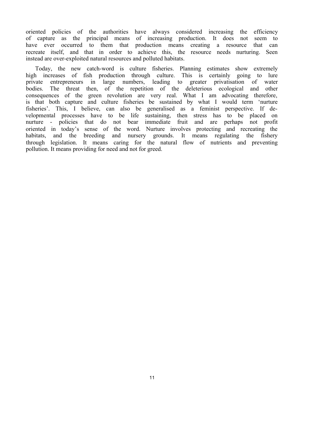oriented policies of the authorities have always considered increasing the efficiency of capture as the principal means of increasing production. It does not seem to have ever occurred to them that production means creating a resource that can recreate itself, and that in order to achieve this, the resource needs nurturing. Seen instead are over-exploited natural resources and polluted habitats.

Today, the new catch-word is culture fisheries. Planning estimates show extremely high increases of fish production through culture. This is certainly going to lure private entrepreneurs in large numbers, leading to greater privatisation of water bodies. The threat then, of the repetition of the deleterious ecological and other consequences of the green revolution are very real. What I am advocating therefore, is that both capture and culture fisheries be sustained by what I would term 'nurture fisheries'. This, I believe, can also be generalised as a feminist perspective. If developmental processes have to be life sustaining, then stress has to be placed on nurture - policies that do not bear immediate fruit and are perhaps not profit oriented in today's sense of the word. Nurture involves protecting and recreating the habitats, and the breeding and nursery grounds. It means regulating the fishery through legislation. It means caring for the natural flow of nutrients and preventing pollution. It means providing for need and not for greed.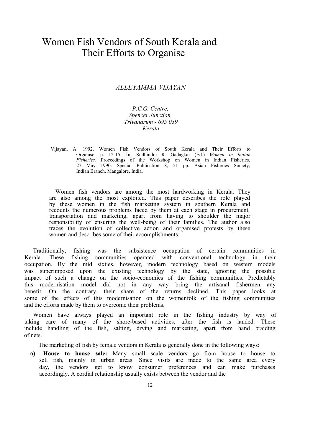## Women Fish Vendors of South Kerala and Their Efforts to Organise

#### <span id="page-11-0"></span>*ALLEYAMMA VIJAYAN*

#### *P.C.O. Centre, Spencer Junction, Trivandrum - 695 039 Kerala*

Vijayan, A. 1992. Women Fish Vendors of South Kerala and Their Efforts to Organise, p. 12-15. In: Sudhindra R. Gadagkar (Ed.) *Women in Indian Fisheries.* Proceedings of the Workshop on Women in Indian Fisheries, 27 May 1990. Special Publication 8, 51 pp. Asian Fisheries Society, Indian Branch, Mangalore. India.

Women fish vendors are among the most hardworking in Kerala. They are also among the most exploited. This paper describes the role played by these women in the fish marketing system in southern Kerala and recounts the numerous problems faced by them at each stage in procurement, transportation and marketing, apart from having to shoulder the major responsibility of ensuring the well-being of their families. The author also traces the evolution of collective action and organised protests by these women and describes some of their accomplishments.

Traditionally, fishing was the subsistence occupation of certain communities in Kerala. These fishing communities operated with conventional technology in their occupation. By the mid sixties, however, modern technology based on western models was superimposed upon the existing technology by the state, ignoring the possible impact of such a change on the socio-economics of the fishing communities. Predictably this modernisation model did not in any way bring the artisanal fishermen any benefit. On the contrary, their share of the returns declined. This paper looks at some of the effects of this modernisation on the womenfolk of the fishing communities and the efforts made by them to overcome their problems.

Women have always played an important role in the fishing industry by way of taking care of many of the shore-based activities, after the fish is landed. These include handling of the fish, salting, drying and marketing, apart from hand braiding of nets.

The marketing of fish by female vendors in Kerala is generally done in the following ways:

**a) House to house sale:** Many small scale vendors go from house to house to sell fish, mainly in urban areas. Since visits are made to the same area every day, the vendors get to know consumer preferences and can make purchases accordingly. A cordial relationship usually exists between the vendor and the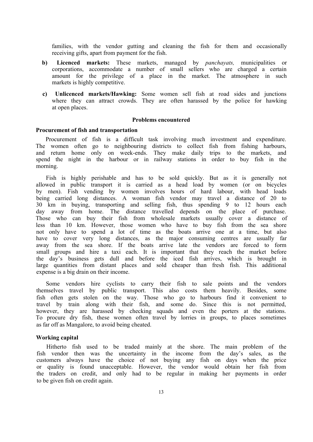families, with the vendor gutting and cleaning the fish for them and occasionally receiving gifts, apart from payment for the fish.

- **b) Licenced markets:** These markets, managed by *panchayats,* municipalities or corporations, accommodate a number of small sellers who are charged a certain amount for the privilege of a place in the market. The atmosphere in such markets is highly competitive.
- **c) Unlicenced markets/Hawking:** Some women sell fish at road sides and junctions where they can attract crowds. They are often harassed by the police for hawking at open places.

#### **Problems encountered**

#### **Procurement of fish and transportation**

Procurement of fish is a difficult task involving much investment and expenditure. The women often go to neighbouring districts to collect fish from fishing harbours, and return home only on week-ends. They make daily trips to the markets, and spend the night in the harbour or in railway stations in order to buy fish in the morning.

Fish is highly perishable and has to be sold quickly. But as it is generally not allowed in public transport it is carried as a head load by women (or on bicycles by men). Fish vending by women involves hours of hard labour, with head loads being carried long distances. A woman fish vendor may travel a distance of 20 to 30 km in buying, transporting and selling fish, thus spending 9 to 12 hours each day away from home. The distance travelled depends on the place of purchase. Those who can buy their fish from wholesale markets usually cover a distance of less than 10 km. However, those women who have to buy fish from the sea shore not only have to spend a lot of time as the boats arrive one at a time, but also have to cover very long distances, as the major consuming centres are usually far away from the sea shore. If the boats arrive late the vendors are forced to form small groups and hire a taxi each. It is important that they reach the market before the day's business gets dull and before the iced fish arrives, which is brought in large quantities from distant places and sold cheaper than fresh fish. This additional expense is a big drain on their income.

Some vendors hire cyclists to carry their fish to sale points and the vendors themselves travel by public transport. This also costs them heavily. Besides, some fish often gets stolen on the way. Those who go to harbours find it convenient to travel by train along with their fish, and some do. Since this is not permitted, however, they are harassed by checking squads and even the porters at the stations. To procure dry fish, these women often travel by lorries in groups, to places sometimes as far off as Mangalore, to avoid being cheated.

#### **Working capital**

Hitherto fish used to be traded mainly at the shore. The main problem of the fish vendor then was the uncertainty in the income from the day's sales, as the customers always have the choice of not buying any fish on days when the price or quality is found unacceptable. However, the vendor would obtain her fish from the traders on credit, and only had to be regular in making her payments in order to be given fish on credit again.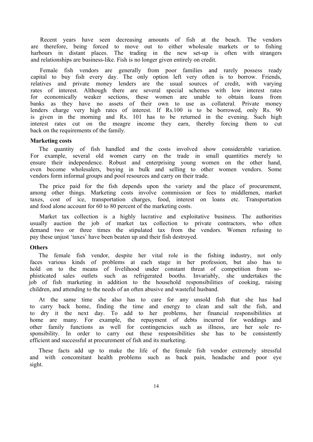Recent years have seen decreasing amounts of fish at the beach. The vendors are therefore, being forced to move out to either wholesale markets or to fishing harbours in distant places. The trading in the new set-up is often with strangers and relationships are business-like. Fish is no longer given entirely on credit.

Female fish vendors are generally from poor families and rarely possess ready capital to buy fish every day. The only option left very often is to borrow. Friends, relatives and private money lenders are the usual sources of credit, with varying rates of interest. Although there are several special schemes with low interest rates for economically weaker sections, these women are unable to obtain loans from banks as they have no assets of their own to use as collateral. Private money lenders charge very high rates of interest. If Rs.100 is to be borrowed, only Rs. 90 is given in the morning and Rs. 101 has to be returned in the evening. Such high interest rates cut on the meagre income they earn, thereby forcing them to cut back on the requirements of the family.

#### **Marketing costs**

The quantity of fish handled and the costs involved show considerable variation. For example, several old women carry on the trade in small quantities merely to ensure their independence. Robust and enterprising young women on the other hand, even become wholesalers, buying in bulk and selling to other women vendors. Some vendors form informal groups and pool resources and carry on their trade.

The price paid for the fish depends upon the variety and the place of procurement, among other things. Marketing costs involve commission or fees to middlemen, market taxes, cost of ice, transportation charges, food, interest on loans etc. Transportation and food alone account for 60 to 80 percent of the marketing costs.

Market tax collection is a highly lucrative and exploitative business. The authorities usually auction the job of market tax collection to private contractors, who often demand two or three times the stipulated tax from the vendors. Women refusing to pay these unjust 'taxes' have been beaten up and their fish destroyed.

#### **Others**

The female fish vendor, despite her vital role in the fishing industry, not only faces various kinds of problems at each stage in her profession, but also has to hold on to the means of livelihood under constant threat of competition from sophisticated sales outlets such as refrigerated booths. Invariably, she undertakes the job of fish marketing in addition to the household responsibilities of cooking, raising children, and attending to the needs of an often abusive and wasteful husband.

At the same time she also has to care for any unsold fish that she has had to carry back home, finding the time and energy to clean and salt the fish, and to dry it the next day. To add to her problems, her financial responsibilities at home are many. For example, the repayment of debts incurred for weddings and other family functions as well for contingencies such as illness, are her sole responsibility. In order to carry out these responsibilities she has to be consistently efficient and successful at procurement of fish and its marketing.

These facts add up to make the life of the female fish vendor extremely stressful and with concomitant health problems such as back pain, headache and poor eye sight.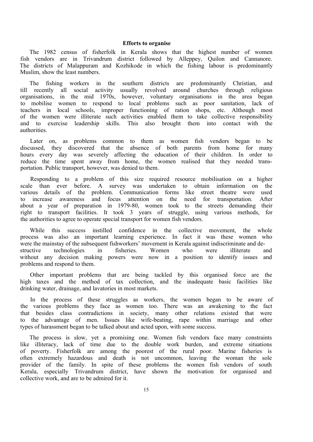#### **Efforts to organise**

The 1982 census of fisherfolk in Kerala shows that the highest number of women fish vendors are in Trivandrum district followed by Alleppey, Quilon and Cannanore. The districts of Malappuram and Kozhikode in which the fishing labour is predominantly Muslim, show the least numbers.

The fishing workers in the southern districts are predominantly Christian, and till recently all social activity usually revolved around churches through religious organisations, in the mid 1970s, however, voluntary organisations in the area began to mobilise women to respond to local problems such as poor sanitation, lack of teachers in local schools, improper functioning of ration shops, etc. Although most of the women were illiterate such activities enabled them to take collective responsibility and to exercise leadership skills. This also brought them into contact with the authorities.

Later on, as problems common to them as women fish vendors began to be discussed, they discovered that the absence of both parents from home for many hours every day was severely affecting the education of their children. In order to reduce the time spent away from home, the women realised that they needed transportation. Public transport, however, was denied to them.

Responding to a problem of this size required resource mobilisation on a higher scale than ever before. A survey was undertaken to obtain information on the various details of the problem. Communication forms like street theatre were used to increase awareness and focus attention on the need for transportation. After about a year of preparation in 1979-80, women took to the streets demanding their right to transport facilities. It took 3 years of struggle, using various methods, for the authorities to agree to operate special transport for women fish vendors.

While this success instilled confidence in the collective movement, the whole process was also an important learning experience. In fact it was these women who were the mainstay of the subsequent fishworkers' movement in Kerala against indiscriminate and destructive technologies in fisheries. Women who were illiterate and without any decision making powers were now in a position to identify issues and problems and respond to them.

Other important problems that are being tackled by this organised force are the high taxes and the method of tax collection, and the inadequate basic facilities like drinking water, drainage, and lavatories in most markets.

In the process of these struggles as workers, the women began to be aware of the various problems they face as women too. There was an awakening to the fact that besides class contradictions in society, many other relations existed that were to the advantage of men. Issues like wife-beating, rape within marriage and other types of harassment began to be talked about and acted upon, with some success.

The process is slow, yet a promising one. Women fish vendors face many constraints like illiteracy, lack of time due to the double work burden, and extreme situations of poverty. Fisherfolk are among the poorest of the rural poor. Marine fisheries is often extremely hazardous and death is not uncommon, leaving the woman the sole provider of the family. In spite of these problems the women fish vendors of south Kerala, especially Trivandrum district, have shown the motivation for organised and collective work, and are to be admired for it.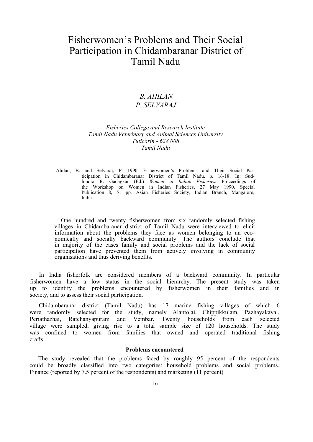## Fisherwomen's Problems and Their Social Participation in Chidambaranar District of Tamil Nadu

### <span id="page-15-0"></span>*B. AHILAN P. SELVARAJ*

#### *Fisheries College and Research Institute Tamil Nadu Veterinary and Animal Sciences University Tuticorin - 628 008 Tamil Nadu*

Ahilan, B. and Selvaraj, P. 1990. Fisherwomen's Problems and Their Social Participation in Chidambaranar District of Tamil Nadu. p. 16-18. In: Sudhindra R. Gadagkar (Ed.) *Women in Indian Fisheries.* Proceedings of the Workshop on Women in Indian Fisheries, 27 May 1990. Special Publication 8, 51 pp. Asian Fisheries Society, Indian Branch, Mangalore, India.

One hundred and twenty fisherwomen from six randomly selected fishing villages in Chidambaranar district of Tamil Nadu were interviewed to elicit information about the problems they face as women belonging to an economically and socially backward community. The authors conclude that in majority of the cases family and social problems and the lack of social participation have prevented them from actively involving in community organisations and thus deriving benefits.

In India fisherfolk are considered members of a backward community. In particular fisherwomen have a low status in the social hierarchy. The present study was taken up to identify the problems encountered by fisherwomen in their families and in society, and to assess their social participation.

Chidambaranar district (Tamil Nadu) has 17 marine fishing villages of which 6 were randomly selected for the study, namely Alantolai, Chippikkulam, Pazhayakayal, Periathazhai, Ratchanyapuram and Vembar. Twenty households from each selected village were sampled, giving rise to a total sample size of 120 households. The study was confined to women from families that owned and operated traditional fishing crafts.

#### **Problems encountered**

The study revealed that the problems faced by roughly 95 percent of the respondents could be broadly classified into two categories: household problems and social problems. Finance (reported by 7.5 percent of the respondents) and marketing (11 percent)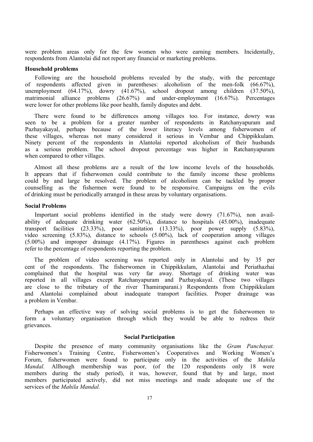were problem areas only for the few women who were earning members. Incidentally, respondents from Alantolai did not report any financial or marketing problems.

#### **Household problems**

Following are the household problems revealed by the study, with the percentage of respondents affected given in parentheses: alcoholism of the men-folk (66.67%), unemployment (64.17%), dowry (41.67%), school dropout among children (37.50%), matrimonial alliance problems (26.67%) and under-employment (16.67%). Percentages were lower for other problems like poor health, family disputes and debt.

There were found to be differences among villages too. For instance, dowry was seen to be a problem for a greater number of respondents in Ratchanyapuram and Pazhayakayal, perhaps because of the lower literacy levels among fisherwomen of these villages, whereas not many considered it serious in Vembar and Chippikkulam. Ninety percent of the respondents in Alantolai reported alcoholism of their husbands as a serious problem. The school dropout percentage was higher in Ratchanyapuram when compared to other villages.

Almost all these problems are a result of the low income levels of the households. It appears that if fisherwomen could contribute to the family income these problems could by and large be resolved. The problem of alcoholism can be tackled by proper counselling as the fishermen were found to be responsive. Campaigns on the evils of drinking must be periodically arranged in these areas by voluntary organisations.

#### **Social Problems**

Important social problems identified in the study were dowry (71.67%), non availability of adequate drinking water (62.50%), distance to hospitals (45.00%), inadequate transport facilities (23.33%), poor sanitation (13.33%), poor power supply (5.83%), video screening (5.83%), distance to schools (5.00%), lack of cooperation among villages (5.00%) and improper drainage (4.17%). Figures in parentheses against each problem refer to the percentage of respondents reporting the problem.

The problem of video screening was reported only in Alantolai and by 35 per cent of the respondents. The fisherwomen in Chippikkulam, Alantolai and Periathazhai complained that the hospital was very far away. Shortage of drinking water was reported in all villages except Ratchanyapuram and Pazhayakayal. (These two villages are close to the tributary of the river Thamiraparani.) Respondents from Chippikkulam and Alantolai complained about inadequate transport facilities. Proper drainage was a problem in Vembar.

Perhaps an effective way of solving social problems is to get the fisherwomen to form a voluntary organisation through which they would be able to redress their grievances.

#### **Social Participation**

Despite the presence of many community organisations like the *Gram Panchayat.* Fisherwomen's Training Centre, Fisherwomen's Cooperatives and Working Women's Forum, fisherwomen were found to participate only in the activities of the *Mahila Mandal*. Allhough membership was poor, (of the 120 respondents only 18 were members during the study period), it was, however, found that by and large, most members participated actively, did not miss meetings and made adequate use of the services of the *Mahila Mandal.*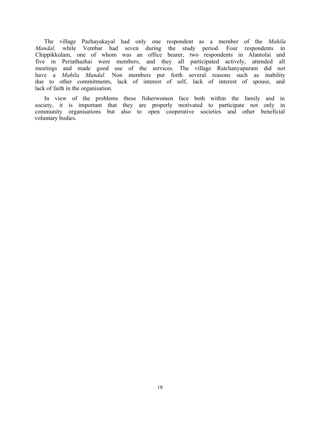The village Pazhayakayal had only one respondent as a member of the *Mahila Mandal,* while Vembar had seven during the study period. Four respondents in Chippikkulam, one of whom was an office bearer, two respondents in Alantolai and five in Periathazhai were members, and they all participated actively, attended all meetings and made good use of the services. The village Ratchanyapuram did not have a *Mahila Mandal*. Non members put forth several reasons such as inability due to other commitments, lack of interest of self, lack of interest of spouse, and lack of faith in the organisation.

In view of the problems these fisherwomen face both within the family and in society, it is important that they are properly motivated to participate not only in community organisations but also to open cooperative societies and other beneficial voluntary bodies.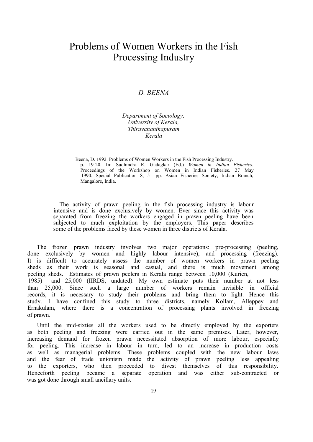## Problems of Women Workers in the Fish Processing Industry

### *D. BEENA*

*Department of Sociology*. *University of Kerala, Thiruvananthapuram Kerala*

Beena, D. 1992. Problems of Women Workers in the Fish Processing Industry. p. 19-20. In: Sudhindra R. Gadagkar (Ed.) *Women in Indian Fisheries.* Proceedings of the Workshop on Women in Indian Fisheries. 27 May 1990. Special Publication 8, 51 pp. Asian Fisheries Society, Indian Branch, Mangalore, India.

The activity of prawn peeling in the fish processing industry is labour intensive and is done exclusively by women. Ever since this activity was separated from freezing the workers engaged in prawn peeling have been subjected to much exploitation by the employers. This paper describes some of the problems faced by these women in three districts of Kerala.

The frozen prawn industry involves two major operations: pre-processing (peeling, done exclusively by women and highly labour intensive), and processing (freezing). It is difficult to accurately assess the number of women workers in prawn peeling sheds as their work is seasonal and casual, and there is much movement among peeling sheds. Estimates of prawn peelers in Kerala range between 10,000 (Kurien, 1985) and 25,000 (IIRDS, undated). My own estimate puts their number at not less than 25,000. Since such a large number of workers remain invisible in official records, it is necessary to study their problems and bring them to light. Hence this study. I have confined this study to three districts, namely Kollam, Alleppey and Ernakulam, where there is a concentration of processing plants involved in freezing of prawn.

Until the mid-sixties all the workers used to be directly employed by the exporters as both peeling and freezing were carried out in the same premises. Later, however, increasing demand for frozen prawn necessitated absorption of more labour, especially for peeling. This increase in labour in turn, led to an increase in production costs as well as managerial problems. These problems coupled with the new labour laws and the fear of trade unionism made the activity of prawn peeling less appealing to the exporters, who then proceeded to divest themselves of this responsibility. Henceforth peeling became a separate operation and was either sub-contracted or was got done through small ancillary units.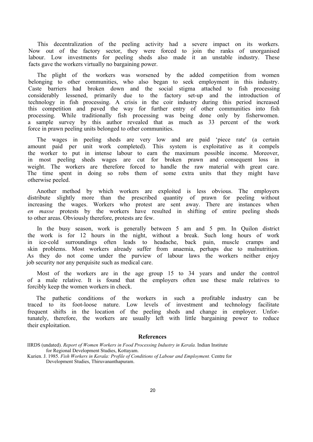This decentralization of the peeling activity had a severe impact on its workers. Now out of the factory sector, they were forced to join the ranks of unorganised labour. Low investments for peeling sheds also made it an unstable industry. These facts gave the workers virtually no bargaining power.

The plight of the workers was worsened by the added competition from women belonging to other communities, who also began to seek employment in this industry. Caste barriers had broken down and the social stigma attached to fish processing considerably lessened, primarily due to the factory set-up and the introduction of technology in fish processing. A crisis in the coir industry during this period increased this competition and paved the way for further entry of other communities into fish processing. While traditionally fish processing was being done only by fisherwomen. a sample survey by this author revealed that as much as 33 percent of the work force in prawn peeling units belonged to other communities.

The wages in peeling sheds are very low and are paid 'piece rate' (a certain amount paid per unit work completed). This system is exploitative as it compels the worker to put in intense labour to earn the maximum possible income. Moreover, in most peeling sheds wages are cut for broken prawn and consequent loss in weight. The workers are therefore forced to handle the raw material with great care. The time spent in doing so robs them of some extra units that they might have otherwise peeled.

Another method by which workers are exploited is less obvious. The employers distribute slightly more than the prescribed quantity of prawn for peeling without increasing the wages. Workers who protest are sent away. There are instances when *en masse* protests by the workers have resulted in shifting of entire peeling sheds to other areas. Obviously therefore, protests are few.

In the busy season, work is generally between 5 am and 5 pm. In Quilon district the work is for 12 hours in the night, without a break. Such long hours of work in ice-cold surroundings often leads to headache, back pain, muscle cramps and skin problems. Most workers already suffer from anaemia, perhaps due to malnutrition. As they do not come under the purview of labour laws the workers neither enjoy job security nor any perquisite such as medical care.

Most of the workers are in the age group 15 to 34 years and under the control of a male relative. It is found that the employers often use these male relatives to forcibly keep the women workers in check.

The pathetic conditions of the workers in such a profitable industry can be traced to its foot-loose nature. Low levels of investment and technology facilitate frequent shifts in the location of the peeling sheds and change in employer. Unfortunately, therefore, the workers are usually left with little bargaining power to reduce their exploitation.

#### **References**

IIRDS (undated). *Report of Women Workers in Food Processing Industry in Kerala.* Indian Institute for Regional Development Studies, Kottayam.

Kurien. J. 1985. *Fish Workers in Kerala: Profile of Conditions of Labour and Employment.* Centre for Development Studies, Thiruvananthapuram.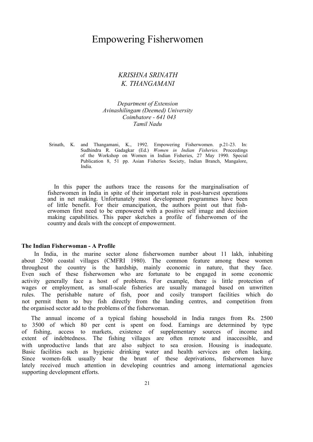### Empowering Fisherwomen

### <span id="page-20-0"></span>*KRISHNA SRINATH K. THANGAMANI*

*Department of Extension Avinashilingam (Deemed) University Coimbatore - 641 043 Tamil Nadu*

Srinath, K. and Thangamani, K., 1992. Empowering Fisherwomen. p.21-23. In: Sudhindra R. Gadagkar (Ed.) *Women in Indian Fisheries.* Proceedings of the Workshop on Women in Indian Fisheries, 27 May 1990. Special Publication 8, 51 pp. Asian Fisheries Society, Indian Branch, Mangalore, India.

In this paper the authors trace the reasons for the marginalisation of fisherwomen in India in spite of their important role in post-harvest operations and in net making. Unfortunately most development programmes have been of little benefit. For their emancipation, the authors point out that fisherwomen first need to be empowered with a positive self image and decision making capabilities. This paper sketches a profile of fisherwomen of the country and deals with the concept of empowerment.

#### **The Indian Fisherwoman - A Profile**

In India, in the marine sector alone fisherwomen number about 11 lakh, inhabiting about 2500 coastal villages (CMFRI 1980). The common feature among these women throughout the country is the hardship, mainly economic in nature, that they face. Even such of these fisherwomen who are fortunate to be engaged in some economic activity generally face a host of problems. For example, there is little protection of wages or employment, as small-scale fisheries are usually managed based on unwritten rules. The perishable nature of fish, poor and cosily transport facilities which do not permit them to buy fish directly from the landing centres, and competition from the organised sector add to the problems of the fisherwoman.

The annual income of a typical fishing household in India ranges from Rs. 2500 to 3500 of which 80 per cent is spent on food. Earnings are determined by type of fishing, access to markets, existence of supplementary sources of income and extent of indebtedness. The fishing villages are often remote and inaccessible, and with unproductive lands that are also subject to sea erosion. Housing is inadequate. Basic facilities such as hygienic drinking water and health services are often lacking. Since women-folk usually bear the brunt of these deprivations, fisherwomen have lately received much attention in developing countries and among international agencies supporting development efforts.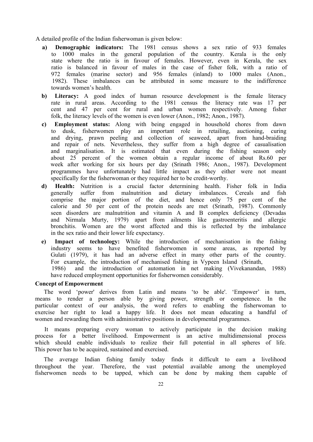A detailed profile of the Indian fisherwoman is given below:

- **a) Demographic indicators:** The 1981 census shows a sex ratio of 933 females to 1000 males in the general population of the country. Kerala is the only state where the ratio is in favour of females. However, even in Kerala, the sex ratio is balanced in favour of males in the case of fisher folk, with a ratio of 972 females (marine sector) and 956 females (inland) to 1000 males (Anon., 1982). These imbalances can be attributed in some measure to the indifference towards women's health.
- **b) Literacy:** A good index of human resource development is the female literacy rate in rural areas. According to the 1981 census the literacy rate was 17 per cent and 47 per cent for rural and urban women respectively. Among fisher folk, the literacy levels of the women is even lower (Anon., 1982; Anon., 1987).
- **c) Employment status:** Along with being engaged in household chores from dawn to dusk, fisherwomen play an important role in retailing, auctioning, curing and drying, prawn peeling and collection of seaweed, apart from hand-braiding and repair of nets. Nevertheless, they suffer from a high degree of casualisation and marginalisation. It is estimated that even during the fishing season only about 25 percent of the women obtain a regular income of about Rs.60 per week after working for six hours per day (Srinath 1986; Anon., 1987). Development programmes have unfortunately had little impact as they either were not meant specifically for the fisherwoman or they required her to be credit-worthy.
- **d) Health:** Nutrition is a crucial factor determining health. Fisher folk in India generally suffer from malnutrition and dietary imbalances. Cereals and fish comprise the major portion of the diet, and hence only 75 per cent of the calorie and 50 per cent of the protein needs are met (Srinath, 1987). Commonly seen disorders are malnutrition and vitamin A and B complex deficiency (Devadas and Nirmala Murty, 1979) apart from ailments like gastroenteritis and allergic bronchitis. Women are the worst affected and this is reflected by the imbalance in the sex ratio and their lower life expectancy.
- **e) Impact of technology:** While the introduction of mechanisation in the fishing industry seems to have benefited fisherwomen in some areas, as reported by Gulati (1979), it has had an adverse effect in many other parts of the country. For example, the introduction of mechanised fishing in Vypeen Island (Srinath, 1986) and the introduction of automation in net making (Vivekanandan, 1988) have reduced employment opportunities for fisherwomen considerably.

#### **Concept of Empowerment**

The word 'power' derives from Latin and means 'to be able'. 'Empower' in turn, means to render a person able by giving power, strength or competence. In the particular context of our analysis, the word refers to enabling the fisherwoman to exercise her right to lead a happy life. It does not mean educating a handful of women and rewarding them with administrative positions in developmental programmes.

It means preparing every woman to actively participate in the decision making process for a better livelihood. Empowerment is an active multidimensional process which should enable individuals to realize their full potential in all spheres of life. This power has to be acquired, sustained and exercised.

The average Indian fishing family today finds it difficult to earn a livelihood throughout the year. Therefore, the vast potential available among the unemployed fisherwomen needs to be tapped, which can be done by making them capable of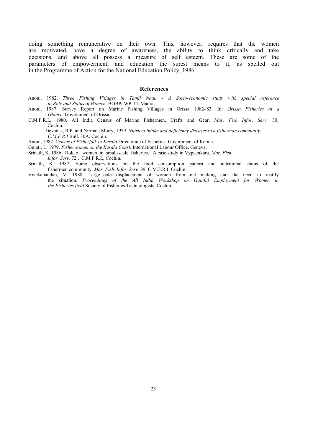doing something remunerative on their own. This, however, requires that the women are motivated, have a degree of awareness, the ability to think critically and take decisions, and above all possess a measure of self esteem. These are some of the parameters of empowerment, and education the surest means to it, as spelled out in the Programme of Action for the National Education Policy, 1986.

#### **References**

- Anon., 1982. *Three Fishing Villages in Tamil Nadu A Socio-economic study with special reference to Role and Status of Women.* BOBP/ WP-14. Madras.
- Anon., 1987. Survey Report on Marine Fishing Villages in Orissa 1982-'83. In: *Orissa Fisheries at a Glance.* Government of Orissa.
- C.M.F.R.I., 1980. All India Census of Marine Fishermen, Crafts and Gear, *Mar. Fish Infor. Serv.* 30, Cochin.

Devadas, R.P. and Nirmala Murty, 1979. *Nutrient intake and deficiency diseases* in *a fisherman community. C.M.F.R.I* Bull. 30A. Cochin.

Anon., 1982. *Census of Fisherfolk in Kerala* Directorate of Fisheries, Government of Kerala.

Gulati, L. 1979. *Fisherwomen on the Kerala Coast.* International Labour Office, Geneva.

Srinath, K. 1986. Role of women in small-scale fisheries. A case study in Vypeenkara. *Mar. Fish. Infor. Serv.* 72., C.M.F.R.I., Cochin.

- Srinath, K. 1987. Some observations on the food consumption pattern and nutritional status of the fishermen community. *Mar. Fish. Infor. Serv.* 89. C.M.F.R.I. Cochin.
- Vivekanandan, V. 1988. Large-scale displacement of women from net making and the need to rectify the situation. *Proceedings of the All India Workshop on Gainful Employment for Women in the Fisheries field* Society of Fisheries Technologists. Cochin.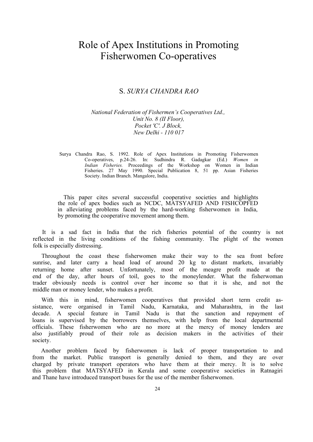## Role of Apex Institutions in Promoting Fisherwomen Co-operatives

#### <span id="page-23-0"></span>S. *SURYA CHANDRA RAO*

#### *National Federation of Fishermen's Cooperatives Ltd., Unit No. 8 (II Floor), Pocket 'C'. J Block, New Delhi - 110 017*

Surya Chandra Rao, S. 1992. Role of Apex Institutions in Promoting Fisherwomen Co-operatives, p.24-26. In: Sudhindra R. Gadagkar (Ed.) *Women in Indian Fisheries.* Proceedings of the Workshop on Women in Indian Fisheries. 27 May 1990. Special Publication 8, 51 pp. Asian Fisheries Society. Indian Branch. Mangalore, India.

This paper cites several successful cooperative societies and highlights the role of apex bodies such as NCDC, MATSYAFED AND FISHCOPFED in alleviating problems faced by the hard-working fisherwomen in India, by promoting the cooperative movement among them.

It is a sad fact in India that the rich fisheries potential of the country is not reflected in the living conditions of the fishing community. The plight of the women folk is especially distressing.

Throughout the coast these fisherwomen make their way to the sea front before sunrise, and later carry a head load of around 20 kg to distant markets, invariably returning home after sunset. Unfortunately, most of the meagre profit made at the end of the day, after hours of toil, goes to the moneylender. What the fisherwoman trader obviously needs is control over her income so that it is she, and not the middle man or money lender, who makes a profit.

With this in mind, fisherwomen cooperatives that provided short term credit assistance, were organised in Tamil Nadu, Karnataka, and Maharashtra, in the last decade. A special feature in Tamil Nadu is that the sanction and repayment of loans is supervised by the borrowers themselves, with help from the local departmental officials. These fisherwomen who are no more at the mercy of money lenders are also justifiably proud of their role as decision makers in the activities of their society.

Another problem faced by fisherwomen is lack of proper transportation to and from the market. Public transport is generally denied to them, and they are over charged by private transport operators who have them at their mercy. It is to solve this problem that MATSYAFED in Kerala and some cooperative societies in Ratnagiri and Thane have introduced transport buses for the use of the member fisherwomen.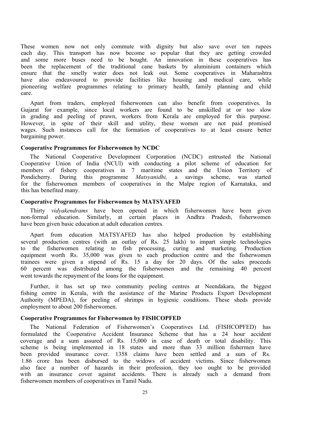These women now not only commute with dignity but also save over ten rupees each day. This transport has now become so popular that they are getting crowded and some more buses need to be bought. An innovation in these cooperatives has been the replacement of the traditional cane baskets by aluminium containers which ensure that the smelly water does not leak out. Some cooperatives in Maharashtra have also endeavoured to provide facilities like housing and medical care, while pioneering welfare programmes relating to primary health, family planning and child care.

Apart from traders, employed fisherwomen can also benefit from cooperatives. In Gujarat for example, since local workers are found to be unskilled at or too slow in grading and peeling of prawn, workers from Kerala are employed for this purpose. However, in spite of their skill and utility, these women are not paid promised wages. Such instances call for the formation of cooperatives to at least ensure better bargaining power.

#### **Cooperative Programmes for Fisherwomen by NCDC**

The National Cooperative Development Corporation (NCDC) entrusted the National Cooperative Union of India (NCUl) with conducting a pilot scheme of education for members of fishery cooperatives in 7 maritime states and the Union Territory of Pondicherry. During this programme *Matsyanidhi,* a savings scheme, was started for the fisherwomen members of cooperatives in the Malpe region of Karnataka, and this has benefited many.

#### **Cooperative Programmes for Fisherwomen by MATSYAFED**

Thirty *vidyakendrams* have been opened in which fisherwomen have been given non-formal education. Similarly, at certain places in Andhra Pradesh, fisherwomen have been given basic education at adult education centres.

Apart from education MATSYAFED has also helped production by establishing several production centres (with an outlay of Rs. 25 lakh) to impart simple technologies to the fisherwomen relating to fish processing, curing and marketing. Production equipment worth Rs. 35,000 was given to each production centre and the fisherwomen trainees were given a stipend of Rs. 15 a day for 20 days. Of the sales proceeds 60 percent was distributed among the fisherwomen and the remaining 40 percent went towards the repayment of the loans for the equipment.

Further, it has set up two community peeling centres at Neendakara, the biggest fishing centre in Kerala, with the assistance of the Marine Products Export Development Authority (MPEDA), for peeling of shrimps in hygienic conditions. These sheds provide employment to about 200 fisherwomen.

#### **Cooperative Programmes for Fisherwomen by FISHCOPFED**

The National Federation of Fisherwomen's Cooperatives Ltd. (FISHCOPFED) has formulated the Cooperative Accident Insurance Scheme that has a 24 hour accident coverage and a sum assured of Rs. 15,000 in case of death or total disability. This scheme is being implemented in 18 states and more than 33 million fishermen have been provided insurance cover. 1358 claims have been settled and a sum of Rs. 1.86 crore has been disbursed to the widows of accident victims. Since fisherwomen also face a number of hazards in their profession, they too ought to be provided with an insurance cover against accidents. There is already such a demand from fisherwomen members of cooperatives in Tamil Nadu.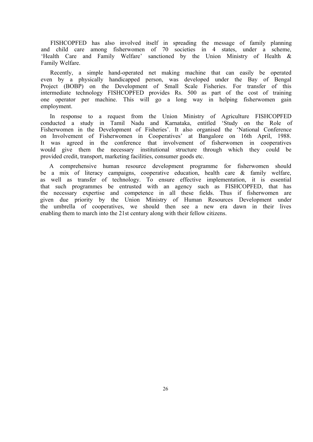FISHCOPFED has also involved itself in spreading the message of family planning and child care among fisherwomen of 70 societies in 4 states, under a scheme, 'Health Care and Family Welfare' sanctioned by the Union Ministry of Health & Family Welfare.

Recently, a simple hand-operated net making machine that can easily be operated even by a physically handicapped person, was developed under the Bay of Bengal Project (BOBP) on the Development of Small Scale Fisheries. For transfer of this intermediate technology FISHCOPFED provides Rs. 500 as part of the cost of training one operator per machine. This will go a long way in helping fisherwomen gain employment.

In response to a request from the Union Ministry of Agriculture FISHCOPFED conducted a study in Tamil Nadu and Karnataka, entitled 'Study on the Role of Fisherwomen in the Development of Fisheries'. It also organised the 'National Conference on Involvement of Fisherwomen in Cooperatives' at Bangalore on 16th April, 1988. It was agreed in the conference that involvement of fisherwomen in cooperatives would give them the necessary institutional structure through which they could be provided credit, transport, marketing facilities, consumer goods etc.

A comprehensive human resource development programme for fisherwomen should be a mix of literacy campaigns, cooperative education, health care & family welfare, as well as transfer of technology. To ensure effective implementation, it is essential that such programmes be entrusted with an agency such as FISHCOPFED, that has the necessary expertise and competence in all these fields. Thus if fisherwomen are given due priority by the Union Ministry of Human Resources Development under the umbrella of cooperatives, we should then see a new era dawn in their lives enabling them to march into the 21st century along with their fellow citizens.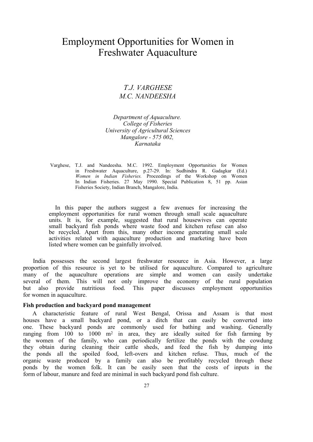## Employment Opportunities for Women in Freshwater Aquaculture

### <span id="page-26-0"></span>*T.J. VARGHESE M.C. NANDEESHA*

*Department of Aquaculture. College of Fisheries University of Agricultural Sciences Mangalore - 575 002, Karnataka*

Varghese, T.J. and Nandeesha. M.C. 1992. Employment Opportunities for Women in Freshwater Aquaculture, p.27-29. In: Sudhindra R. Gadagkar (Ed.) *Women in Indian Fisheries.* Proceedings of the Workshop on Women In Indian Fisheries. 27 May 1990. Special Publication 8, 51 pp. Asian Fisheries Society, Indian Branch, Mangalore, India.

In this paper the authors suggest a few avenues for increasing the employment opportunities for rural women through small scale aquaculture units. It is, for example, suggested that rural housewives can operate small backyard fish ponds where waste food and kitchen refuse can also be recycled. Apart from this, many other income generating small scale activities related with aquaculture production and marketing have been listed where women can be gainfully involved.

India possesses the second largest freshwater resource in Asia. However, a large proportion of this resource is yet to be utilised for aquaculture. Compared to agriculture many of the aquaculture operations are simple and women can easily undertake several of them. This will not only improve the economy of the rural population<br>but also provide nutritious food. This paper discusses employment opportunities This paper discusses employment opportunities for women in aquaculture.

#### **Fish production and backyard pond management**

A characteristic feature of rural West Bengal, Orissa and Assam is that most houses have a small backyard pond, or a ditch that can easily be converted into one. These backyard ponds are commonly used for bathing and washing. Generally ranging from 100 to 1000 m<sup>2</sup> in area, they are ideally suited for fish farming by the women of the family, who can periodically fertilize the ponds with the cowdung they obtain during cleaning their cattle sheds, and feed the fish by dumping into the ponds all the spoiled food, left-overs and kitchen refuse. Thus, much of the organic waste produced by a family can also be profitably recycled through these ponds by the women folk. It can be easily seen that the costs of inputs in the form of labour, manure and feed are minimal in such backyard pond fish culture.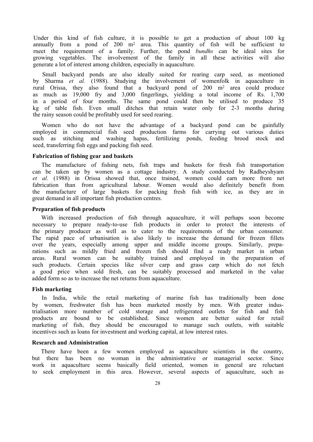Under this kind of fish culture, it is possible to get a production of about 100 kg annually from a pond of 200 m<sup>2</sup> area. This quantity of fish will be sufficient to rneet the requirement of a family. Further, the pond *bundhs* can be ideal sites for growing vegetables. The involvement of the family in all these activities will also generate a lot of interest among children, especially in aquaculture.

Small backyard ponds are also ideally suited for rearing carp seed, as mentioned by Sharma *et al.* (1988). Studying the involvement of womenfolk in aquaculture in rural Orissa, they also found that a backyard pond of 200 m<sup>2</sup> area could produce as much as 19,000 fry and 3,000 fingerlings, yielding a total income of Rs. 1,700 in a period of four months. The same pond could then be utilised to produce 35 kg of table fish. Even small ditches that retain water only for 2-3 months during the rainy season could be profitably used for seed rearing.

Women who do not have the advantage of a backyard pond can be gainfully employed in commercial fish seed production farms for carrying out various duties such as stitching and washing hapas, fertilizing ponds, feeding brood stock and seed, transferring fish eggs and packing fish seed.

#### **Fabrication of fishing gear and baskets**

The manufacture of fishing nets, fish traps and baskets for fresh fish transportation can be taken up by women as a cottage industry. A study conducted by Radheyshyam *et al.* (1988) in Orissa showed that, once trained, women could earn more from net fabrication than from agricultural labour. Women would also definitely benefit from the manufacture of large baskets for packing fresh fish with ice, as they are in great demand in all important fish production centres.

#### **Preparation of fish products**

With increased production of fish through aquaculture, it will perhaps soon become necessary to prepare ready-to-use fish products in order to protect the interests of the primary producer as well as to cater to the requirements of the urban consumer. The rapid pace of urbanisation is also likely to increase the demand for frozen fillets over the years, especially among upper and middle income groups. Similarly, preparations such as mildly fried and frozen fish should find a ready market in urban areas. Rural women can be suitably trained and employed in the preparation of such products. Certain species like silver carp and grass carp which do not fetch a good price when sold fresh, can be suitably processed and marketed in the value added form so as to increase the net returns from aquaculture.

#### **Fish marketing**

In India, while the retail marketing of marine fish has traditionally been done by women, freshwater fish has been marketed mostly by men. With greater industrialisation more number of cold storage and refrigerated outlets for fish and fish products are bound to be established. Since women are better suited for retail marketing of fish, they should be encouraged to manage such outlets, with suitable incentives such as loans for investment and working capital, at low interest rates.

#### **Research and Administration**

There have been a few women employed as aquaculture scientists in the country, but there has been no woman in the administrative or managerial sector. Since work in aquaculture seems basically field oriented, women in general are reluctant to seek employment in this area. However, several aspects of aquaculture, such as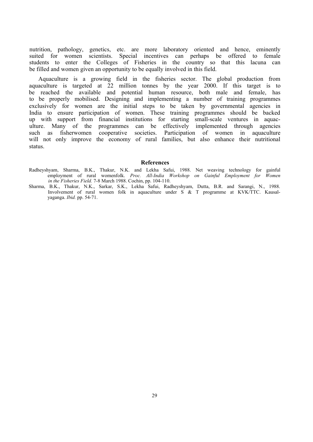nutrition, pathology, genetics, etc. are more laboratory oriented and hence, eminently suited for women scientists. Special incentives can perhaps be offered to female students to enter the Colleges of Fisheries in the country so that this lacuna can be filled and women given an opportunity to be equally involved in this field.

Aquaculture is a growing field in the fisheries sector. The global production from aquaculture is targeted at 22 million tonnes by the year 2000. If this target is to be reached the available and potential human resource, both male and female, has to be properly mobilised. Designing and implementing a number of training programmes exclusively for women are the initial steps to be taken by governmental agencies in India to ensure participation of women. These training programmes should be backed up with support from financial institutions for starting small-scale ventures in aquaculture. Many of the programmes can be effectively implemented through agencies such as fisherwomen cooperative societies. Participation of women in aquaculture will not only improve the economy of rural families, but also enhance their nutritional status.

#### **References**

- Radheyshyam, Sharma, B.K., Thakur, N.K. and Lekha Safui, 1988. Net weaving technology for gainful employment of rural womenfolk. *Proc. All-India Workshop on Gainful Employment for Women in the Fisheries Field.* 7-8 March 1988. Cochin, pp. 104-110.
- Sharma, B.K., Thakur, N.K., Sarkar, S.K., Lekha Safui, Radheyshyam, Dutta, B.R. and Sarangi, N., 1988. Involvement of rural women folk in aquaculture under S & T programme at KVK/TTC. Kausalyaganga. *Ibid.* pp. 54-71.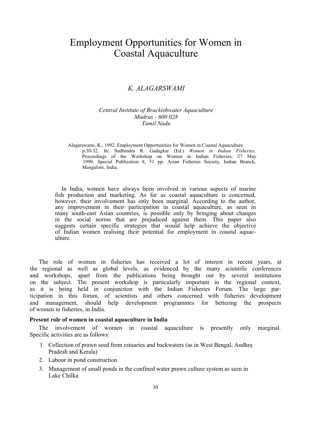## Employment Opportunities for Women in Coastal Aquaculture

### <span id="page-29-0"></span>*K. ALAGARSWAMI*

#### *Central Institute of Brackishwater Aquaculture Madras - 600 028 Tamil Nadu*

Alagarswami, K., 1992. Employment Opportunities for Women in Coastal Aquaculture. p.30-32. In: Sudhindra R. Gadagkar (Ed.) *Women in Indian Fisheries.* Proceedings of the Workshop on Women in Indian Fisheries, 27 May 1990. Special Publication 8, 51 pp. Asian Fisheries Society, Indian Branch, Mangalore, India.

In India, women have always been involved in various aspects of marine fish production and marketing. As far as coastal aquaculture is concerned, however, their involvement has only been marginal. According to the author, any improvement in their participation in coastal aquaculture, as seen in many south-east Asian countries, is possible only by bringing about changes in the social norms that are prejudiced against them. This paper also suggests certain specific strategies that would help achieve the objective of Indian women realising their potential for employment in coastal aquaculture.

The role of women in fisheries has received a lot of interest in recent years, at the regional as well as global levels, as evidenced by the many scientific conferences and workshops, apart from the publications being brought out by several institutions on the subject. The present workshop is particularly important in the regional context, as it is being held in conjunction with the Indian Fisheries Forum. The large participation in this forum, of scientists and others concerned with fisheries development and management, should help development programmes for bettering the prospects of women in fisheries, in India.

#### **Present role of women in coastal aquaculture in India**

The involvement of women in coastal aquaculture is presently only marginal. Specific activities are as follows:

- 1. Collection of prawn seed from estuaries and backwaters (as in West Bengal, Andhra Pradesh and Kerala)
- 2. Labour in pond construction
- 3. Management of small ponds in the confined water prawn culture system as seen in Lake Chilka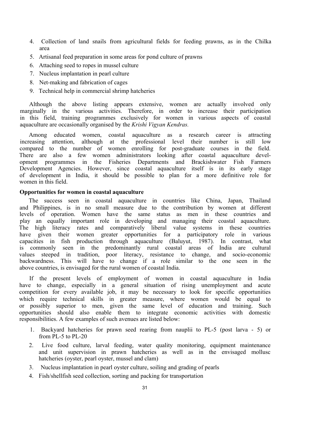- 4. Collection of land snails from agricultural fields for feeding prawns, as in the Chilka area
- 5. Artisanal feed preparation in some areas for pond culture of prawns
- 6. Attaching seed to ropes in mussel culture
- 7. Nucleus implantation in pearl culture
- 8. Net-making and fabrication of cages
- 9. Technical help in commercial shrimp hatcheries

Although the above listing appears extensive, women are actually involved only marginally in the various activities. Therefore, in order to increase their participation in this field, training programmes exclusively for women in various aspects of coastal aquaculture are occasionally organised by the *Krishi Vigyan Kendras.*

Among educated women, coastal aquaculture as a research career is attracting increasing attention, although at the professional level their number is still low compared to the number of women enrolling for post-graduate courses in the field. There are also a few women administrators looking after coastal aquaculture development programmes in the Fisheries Departments and Brackishwater Fish Farmers Development Agencies. However, since coastal aquaculture itself is in its early stage of development in India, it should be possible to plan for a more definitive role for women in this field.

#### **Opportunities for women in coastal aquaculture**

The success seen in coastal aquaculture in countries like China, Japan, Thailand and Philippines, is in no small measure due to the contribution by women at different levels of operation. Women have the same status as men in these countries and play an equally important role in developing and managing their coastal aquaculture. The high literacy rates and comparatively liberal value systems in these countries have given their women greater opportunities for a participatory role in various capacities in fish production through aquaculture (Baluyut, 1987). In contrast, what is commonly seen in the predominantly rural coastal areas of India are cultural values steeped in tradition, poor literacy, resistance to change, and socio-economic backwardness. This will have to change if a role similar to the one seen in the above countries, is envisaged for the rural women of coastal India.

If the present levels of employment of women in coastal aquaculture in India have to change, especially in a general situation of rising unemployment and acute competition for every available job, it may be necessary to look for specific opportunities which require technical skills in greater measure, where women would be equal to or possibly superior to men, given the same level of education and training. Such opportunities should also enable them to integrate economic activities with domestic responsibilities. A few examples of such avenues are listed below:

- 1. Backyard hatcheries for prawn seed rearing from nauplii to PL-5 (post larva 5) or from PL-5 to PL-20
- 2. Live food culture, larval feeding, water quality monitoring, equipment maintenance and unit supervision in prawn hatcheries as well as in the envisaged mollusc hatcheries (oyster, pearl oyster, mussel and clam)
- 3. Nucleus implantation in pearl oyster culture, soiling and grading of pearls
- 4. Fish/shellfish seed collection, sorting and packing for transportation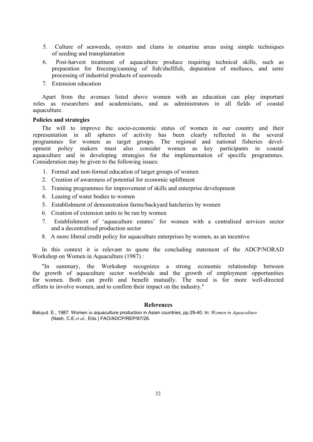- 5. Culture of seaweeds, oysters and clams in estuarine areas using simple techniques of seeding and transplantation
- 6. Post-harvest treatment of aquaculture produce requiring technical skills, such as preparation for freezing/canning of fish/shellfish, depuration of molluscs, and semi processing of industrial products of seaweeds
- 7. Extension education

Apart from the avenues listed above women with an education can play important roles as researchers and academicians, and as administrators in all fields of coastal aquaculture.

#### **Policies and strategies**

The will to improve the socio-economic status of women in our country and their representation in all spheres of activity has been clearly reflected in the several programmes for women as target groups. The regional and national fisheries development policy makers must also consider women as key participants in coastal aquaculture and in developing strategies for the implementation of specific programmes. Consideration may be given to the following issues:

- 1. Formal and non-formal education of target groups of women
- 2. Creation of awareness of potential for economic upliftment
- 3. Training programmes for improvement of skills and enterprise development
- 4. Leasing of water bodies to women
- 5. Establishment of demonstration farms/backyard hatcheries by women
- 6. Creation of extension units to be run by women
- 7. Establishment of 'aquaculture estates' for women with a centralised services sector and a decentralised production sector
- 8. A more liberal credit policy for aquaculture enterprises by women, as an incentive

In this context it is relevant to quote the concluding statement of the ADCP/NORAD Workshop on Women in Aquaculture (1987) :

"In summary, the Workshop recognizes a strong economic relationship between the growth of aquaculture sector worldwide and the growth of employment opportunities for women. Both can profit and benefit mutually. The need is for more well-directed efforts to involve women, and to confirm their impact on the industry."

#### **References**

Baluyut. E., 1987. Women in aquaculture production in Asian countries, pp.29-40. In: *Women in Aquaculture* (Nash. C.E *et al.,* Eds.) FAO/ADCP/REP/87/28.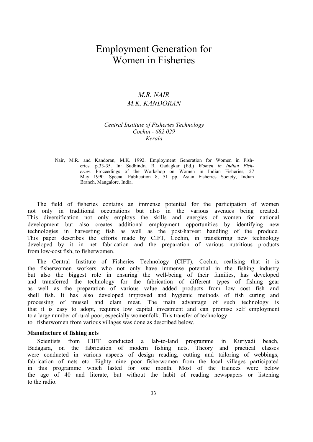## Employment Generation for Women in Fisheries

### <span id="page-32-0"></span>*M.R. NAIR M.K. KANDORAN*

#### *Central Institute of Fisheries Technology Cochin - 682 029 Kerala*

Nair, M.R. and Kandoran, M.K. 1992. Employment Generation for Women in Fisheries. p.33-35. In: Sudhindra R. Gadagkar (Ed.) *Women in Indian Fisheries.* Proceedings of the Workshop on Women in Indian Fisheries, 27 May 1990. Special Publication 8, 51 pp. Asian Fisheries Society, Indian Branch, Mangalore. India.

The field of fisheries contains an immense potential for the participation of women not only in traditional occupations but also in the various avenues being created. This diversification not only employs the skills and energies of women for national development but also creates additional employment opportunities by identifying new technologies in harvesting fish as well as the post-harvest handling of the produce. This paper describes the efforts made by CIFT, Cochin, in transferring new technology developed by it in net fabrication and the preparation of various nutritious products from low-cost fish, to fisherwomen.

The Central Institute of Fisheries Technology (CIFT), Cochin, realising that it is the fisherwomen workers who not only have immense potential in the fishing industry but also the biggest role in ensuring the well-being of their families, has developed and transferred the technology for the fabrication of different types of fishing gear as well as the preparation of various value added products from low cost fish and shell fish. It has also developed improved and hygienic methods of fish curing and processing of mussel and clam meat. The main advantage of such technology is that it is easy to adopt, requires low capital investment and can promise self employment to a large number of rural poor, especially womenfolk. This transfer of technology to fisherwomen from various villages was done as described below.

#### **Manufacture of fishing nets**

Scientists from CIFT conducted a lab-to-land programme in Kuriyadi beach, Badagara, on the fabrication of modern fishing nets. Theory and practical classes were conducted in various aspects of design reading, cutting and tailoring of webbings, fabrication of nets etc. Eighty nine poor fisherwomen from the local villages participated in this programme which lasted for one month. Most of the trainees were below the age of 40 and literate, but without the habit of reading newspapers or listening to the radio.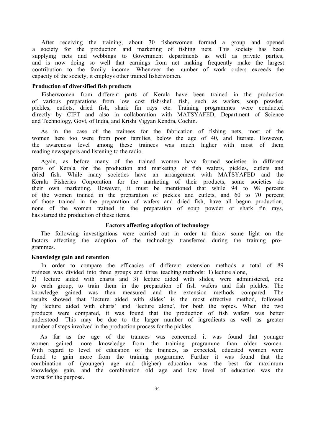After receiving the training, about 30 fisherwomen formed a group and opened a society for the production and marketing of fishing nets. This society has been supplying nets and webbings to Government departments as well as private parties, and is now doing so well that earnings from net making frequently make the largest contribution to the family income. Whenever the number of work orders exceeds the capacity of the society, it employs other trained fisherwomen.

#### **Production of diversified fish products**

Fisherwomen from different parts of Kerala have been trained in the production of various preparations from low cost fish/shell fish, such as wafers, soup powder, pickles, cutlets, dried fish, shark fin rays etc. Training programmes were conducted directly by CIFT and also in collaboration with MATSYAFED, Department of Science and Technology, Govt, of India, and Krishi Vigyan Kendra, Cochin.

As in the case of the trainees for the fabrication of fishing nets, most of the women here too were from poor families, below the age of 40, and literate. However, the awareness level among these trainees was much higher with most of them reading newspapers and listening to the radio.

Again, as before many of the trained women have formed societies in different parts of Kerala for the production and marketing of fish wafers, pickles, cutlets and dried fish. While many societies have an arrangement with MATSYAFED and the Kerala Fisheries Corporation for the marketing of their products, some societies do their own marketing. However, it must be mentioned that while 94 to 98 percent of the women trained in the preparation of pickles and cutlets, and 60 to 70 percent of those trained in the preparation of wafers and dried fish, have all begun production, none of the women trained in the preparation of soup powder or shark fin rays, has started the production of these items.

#### **Factors affecting adoption of technology**

The following investigations were carried out in order to throw some light on the factors affecting the adoption of the technology transferred during the training programmes.

#### **Knowledge gain and retention**

In order to compare the efficacies of different extension methods a total of 89 trainees was divided into three groups and three teaching methods: 1) lecture alone,

2) lecture aided with charts and 3) lecture aided with slides, were administered, one to each group, to train them in the preparation of fish wafers and fish pickles. The knowledge gained was then measured and the extension methods compared. The results showed that 'lecture aided with slides' is the most effective method, followed by 'lecture aided with charts' and 'lecture alone', for both the topics. When the two products were compared, it was found that the production of fish wafers was better understood. This may be due to the larger number of ingredients as well as greater number of steps involved in the production process for the pickles.

As far as the age of the trainees was concerned it was found that younger women gained more knowledge from the training programme than older women. With regard to level of education of the trainees, as expected, educated women were found to gain more from the training programme. Further it was found that the combination of (younger) age and (higher) education was the best for maximum knowledge gain, and the combination old age and low level of education was the worst for the purpose.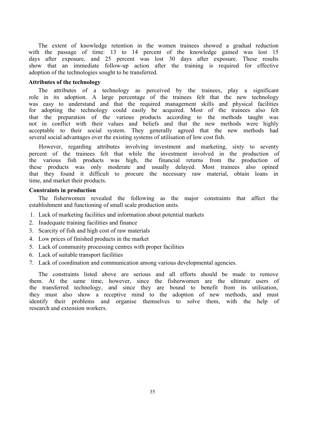The extent of knowledge retention in the women trainees showed a gradual reduction with the passage of time: 13 to 14 percent of the knowledge gained was lost 15 days after exposure, and 25 percent was lost 30 days after exposure. These results show that an immediate follow-up action after the training is required for effective adoption of the technologies sought to be transferred.

#### **Attributes of the technology**

The attributes of a technology as perceived by the trainees, play a significant role in its adoption. A large percentage of the trainees felt that the new technology was easy to understand and that the required management skills and physical facilities for adopting the technology could easily be acquired. Most of the trainees also felt that the preparation of the various products according to the methods taught was not in conflict with their values and beliefs and that the new methods were highly acceptable to their social system. They generally agreed that the new methods had several social advantages over the existing systems of utilisation of low cost fish.

However, regarding attributes involving investment and marketing, sixty to seventy percent of the trainees felt that while the investment involved in the production of the various fish products was high, the financial returns from the production of these products was only moderate and usually delayed. Most trainees also opined that they found it difficult to procure the necessary raw material, obtain loans in time, and market their products.

#### **Constraints in production**

The fisherwomen revealed the following as the major constraints that affect the establishment and functioning of small scale production units.

- 1. Lack of marketing facilities and information about potential markets
- 2. Inadequate training facilities and finance
- 3. Scarcity of fish and high cost of raw materials
- 4. Low prices of finished products in the market
- 5. Lack of community processing centres with proper facilities
- 6. Lack of suitable transport facilities
- 7. Lack of coordination and communication among various developmental agencies.

The constraints listed above are serious and all efforts should be made to remove them. At the same time, however, since the fisherwomen are the ultimate users of the transferred technology, and since they are bound to benefit from its utilisation, they must also show a receptive mind to the adoption of new methods, and must identify their problems and organise themselves to solve them, with the help of research and extension workers.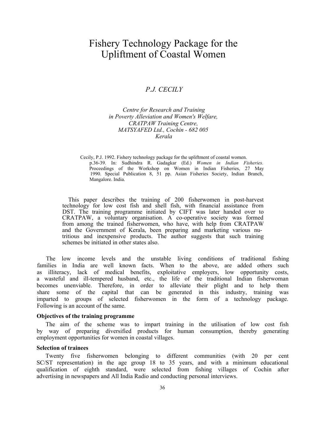## Fishery Technology Package for the Upliftment of Coastal Women

### <span id="page-35-0"></span>*P.J. CECILY*

#### *Centre for Research and Training in Poverty Alleviation and Women's Welfare, CRATPAW Training Centre, MATSYAFED Ltd., Cochin - 682 005 Kerala*

Cecily, P.J. 1992. Fishery technology package for the upliftment of coastal women. p.36-39. In: Sudhindra R. Gadagkar (Ed.) *Women in Indian Fisheries.* Proceedings of the Workshop on Women in Indian Fisheries, 27 May 1990. Special Publication 8, 51 pp. Asian Fisheries Society, Indian Branch, Mangalore. India.

This paper describes the training of 200 fisherwomen in post-harvest technology for low cost fish and shell fish, with financial assistance from DST. The training programme initiated by CIFT was later handed over to CRATPAW, a voluntary organisation. A co-operative society was formed from among the trained fisherwomen, who have, with help from CRATPAW and the Government of Kerala, been preparing and marketing various nutritious and inexpensive products. The author suggests that such training schemes be initiated in other states also.

The low income levels and the unstable living conditions of traditional fishing families in India are well known facts. When to the above, are added others such as illiteracy, lack of medical benefits, exploitative employers, low opportunity costs, a wasteful and ill-tempered husband, etc., the life of the traditional Indian fisherwoman becomes unenviable. Therefore, in order to alleviate their plight and to help them share some of the capital that can be generated in this industry, training was imparted to groups of selected fisherwomen in the form of a technology package. Following is an account of the same.

#### **Objectives of the training programme**

The aim of the scheme was to impart training in the utilisation of low cost fish by way of preparing diversified products for human consumption, thereby generating employment opportunities for women in coastal villages.

#### **Selection of trainees**

Twenty five fisherwomen belonging to different communities (with 20 per cent SC/ST representation) in the age group 18 to 35 years, and with a minimum educational qualification of eighth standard, were selected from fishing villages of Cochin after advertising in newspapers and All India Radio and conducting personal interviews.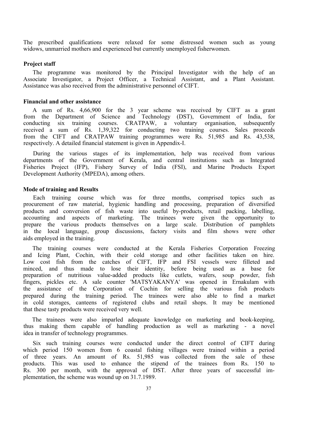The prescribed qualifications were relaxed for some distressed women such as young widows, unmarried mothers and experienced but currently unemployed fisherwomen.

#### **Project staff**

The programme was monitored by the Principal Investigator with the help of an Associate Investigator, a Project Officer, a Technical Assistant, and a Plant Assistant. Assistance was also received from the administrative personnel of CIFT.

#### **Financial and other assistance**

A sum of Rs. 4,66,900 for the 3 year scheme was received by CIFT as a grant from the Department of Science and Technology (DST), Government of India, for conducting six training courses. CRATPAW, a voluntary organisation, subsequently received a sum of Rs. 1,39,322 for conducting two training courses. Sales proceeds from the CIFT and CRATPAW training programmes were Rs. 51,985 and Rs. 43,538, respectively. A detailed financial statement is given in Appendix-I.

During the various stages of its implementation, help was received from various departments of the Government of Kerala, and central institutions such as Integrated Fisheries Project (IFP), Fishery Survey of India (FSI), and Marine Products Export Development Authority (MPEDA), among others.

#### **Mode of training and Results**

Each training course which was for three months, comprised topics such as procurement of raw material, hygienic handling and processing, preparation of diversified products and conversion of fish waste into useful by-products, retail packing, labelling, accounting and aspects of marketing. The trainees were given the opportunity to prepare the various products themselves on a large scale. Distribution of pamphlets in the local language, group discussions, factory visits and film shows were other aids employed in the training.

The training courses were conducted at the Kerala Fisheries Corporation Freezing and Icing Plant, Cochin, with their cold storage and other facilities taken on hire. Low cost fish from the catches of CIFT, IFP and FSI vessels were filleted and minced, and thus made to lose their identity, before being used as a base for preparation of nutritious value-added products like cutlets, wafers, soup powder, fish fingers, pickles etc. A sale counter 'MATSYAKANYA' was opened in Ernakulam with the assistance of the Corporation of Cochin for selling the various fish products prepared during the training period. The trainees were also able to find a market in cold storages, canteens of registered clubs and retail shops. It may be mentioned that these tasty products were received very well.

The trainees were also imparled adequate knowledge on marketing and book-keeping, thus making them capable of handling production as well as marketing - a novel idea in transfer of technology programmes.

Six such training courses were conducted under the direct control of CIFT during which period 150 women from 6 coastal fishing villages were trained within a period of three years. An amount of Rs. 51,985 was collected from the sale of these products. This was used to enhance the stipend of the trainees from Rs. 150 to Rs. 300 per month, with the approval of DST. After three years of successful implementation, the scheme was wound up on 31.7.1989.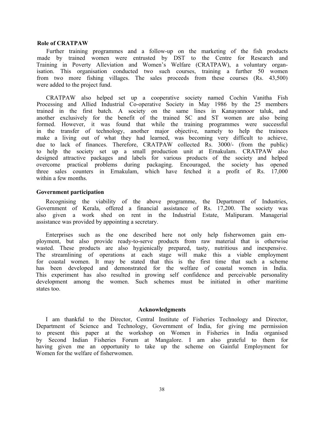#### **Role of CRATPAW**

Further training programmes and a follow-up on the marketing of the fish products made by trained women were entrusted by DST to the Centre for Research and Training in Poverty Alleviation and Women's Welfare (CRATPAW), a voluntary organisation. This organisation conducted two such courses, training a further 50 women from two more fishing villages. The sales proceeds from these courses (Rs. 43,500) were added to the project fund.

CRATPAW also helped set up a cooperative society named Cochin Vanitha Fish Processing and Allied Industrial Co-operative Society in May 1986 by the 25 members trained in the first batch. A society on the same lines in Kanayannoor taluk, and another exclusively for the benefit of the trained SC and ST women are also being formed. However, it was found that while the training programmes were successful in the transfer of technology, another major objective, namely to help the trainees make a living out of what they had learned, was becoming very difficult to achieve, due to lack of finances. Therefore, CRATPAW collected Rs. 3000/- (from the public) to help the society set up a small production unit at Ernakulam. CRATPAW also designed attractive packages and labels for various products of the society and helped overcome practical problems during packaging. Encouraged, the society has opened three sales counters in Ernakulam, which have fetched it a profit of Rs. 17,000 within a few months.

#### **Government participation**

Recognising the viability of the above programme, the Department of Industries, Government of Kerala, offered a financial assistance of Rs. 17,200. The society was also given a work shed on rent in the Industrial Estate, Malipuram. Managerial assistance was provided by appointing a secretary.

Enterprises such as the one described here not only help fisherwomen gain employment, but also provide ready-to-serve products from raw material that is otherwise wasted. These products are also hygienically prepared, tasty, nutritious and inexpensive. The streamlining of operations at each stage will make this a viable employment for coastal women. It may be stated that this is the first time that such a scheme has been developed and demonstrated for the welfare of coastal women in India. This experiment has also resulted in growing self confidence and perceivable personality development among the women. Such schemes must be initiated in other maritime states too.

#### **Acknowledgments**

I am thankful to the Director, Central Institute of Fisheries Technology and Director, Department of Science and Technology, Government of India, for giving me permission to present this paper at the workshop on Women in Fisheries in India organised by Second Indian Fisheries Forum at Mangalore. I am also grateful to them for having given me an opportunity to take up the scheme on Gainful Employment for Women for the welfare of fisherwomen.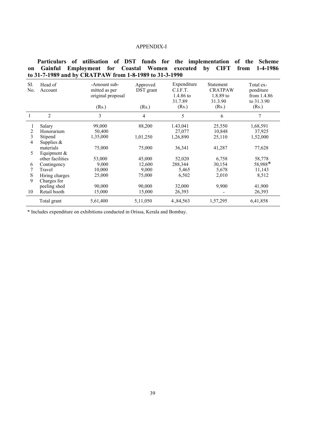#### APPENDIX-I

**Particulars of utilisation of DST funds for the implementation of the Scheme on Gainful Employment for Coastal Women executed by CIFT from 1-4-1986 to 31-7-1989 and by CRATPAW from 1-8-1989 to 31-3-1990**

| SI.<br>No. | Head of<br>Account | -Amount sub-<br>mitted as per<br>original proposal<br>(Rs.) | Approved<br>DST grant<br>(Rs.) | Expenditure<br>C.I.F.T.<br>1.4.86 to<br>31.7.89<br>(Rs.) | Statement<br><b>CRATPAW</b><br>1.8.89 to<br>31.3.90<br>(Rs.) | Total ex-<br>penditure<br>from 1.4.86<br>to 31.3.90<br>(Rs.) |
|------------|--------------------|-------------------------------------------------------------|--------------------------------|----------------------------------------------------------|--------------------------------------------------------------|--------------------------------------------------------------|
|            |                    |                                                             |                                |                                                          |                                                              |                                                              |
|            | $\overline{2}$     | 3                                                           | 4                              | 5                                                        | 6                                                            | 7                                                            |
|            | Salary             | 99,000                                                      | 88,200                         | 1.43,041                                                 | 25,550                                                       | 1,68,591                                                     |
| 2          | Honorarium         | 50,400                                                      |                                | 27.077                                                   | 10,848                                                       | 37,925                                                       |
| 3          | Stipend            | 1,35,000                                                    | 1,01,250                       | 1,26,890                                                 | 25,110                                                       | 1,52,000                                                     |
| 4          | Supplies $\&$      |                                                             |                                |                                                          |                                                              |                                                              |
|            | materials          | 75,000                                                      | 75,000                         | 36,341                                                   | 41,287                                                       | 77,628                                                       |
| 5          | Equipment $&$      |                                                             |                                |                                                          |                                                              |                                                              |
|            | other facilities   | 53,000                                                      | 45,000                         | 52,020                                                   | 6,758                                                        | 58,778                                                       |
| 6          | Contingency        | 9,000                                                       | 12,600                         | 288,344                                                  | 30,154                                                       | 58,988*                                                      |
|            | Travel             | 10,000                                                      | 9,000                          | 5,465                                                    | 5,678                                                        | 11,143                                                       |
| S          | Hiring charges     | 25,000                                                      | 75,000                         | 6,502                                                    | 2,010                                                        | 8,512                                                        |
| 9          | Charges for        |                                                             |                                |                                                          |                                                              |                                                              |
|            | peeling shed       | 90,000                                                      | 90,000                         | 32,000                                                   | 9,900                                                        | 41,900                                                       |
| 10         | Retail booth       | 15,000                                                      | 15,000                         | 26,393                                                   |                                                              | 26,393                                                       |
|            | Total grant        | 5,61,400                                                    | 5,11,050                       | 4,84,563                                                 | 1,57,295                                                     | 6,41,858                                                     |

\* Includes expenditure on exhibitions conducted in Orissa, Kerala and Bombay.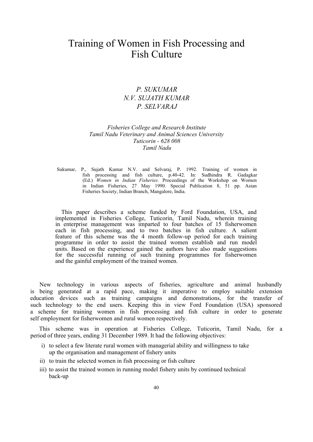## Training of Women in Fish Processing and Fish Culture

### <span id="page-39-0"></span>*P. SUKUMAR N.V. SUJATH KUMAR P. SELVARAJ*

#### *Fisheries College and Research Institute Tamil Nadu Veterinary and Animal Sciences University Tuticorin - 628 008 Tamil Nadu*

Sukumar, P., Sujath Kumar N.V. and Selvaraj, P. 1992. Training of women in fish processing and fish culture, p.40-42. In: Sudhindra R. Gadagkar (Ed.) *Women in Indian Fisheries.* Proceedings of the Workshop on Women in Indian Fisheries, 27 May 1990. Special Publication 8, 51 pp. Asian Fisheries Society, Indian Branch, Mangalore, India.

This paper describes a scheme funded by Ford Foundation, USA, and implemented in Fisheries College, Tuticorin, Tamil Nadu, wherein training in enterprise management was imparted to four batches of 15 fisherwomen each in fish processing, and to two batches in fish culture. A salient feature of this scheme was the 4 month follow-up period for each training programme in order to assist the trained women establish and run model units. Based on the experience gained the authors have also made suggestions for the successful running of such training programmes for fisherwomen and the gainful employment of the trained women.

New technology in various aspects of fisheries, agriculture and animal husbandly is being generated at a rapid pace, making it imperative to employ suitable extension education devices such as training campaigns and demonstrations, for the transfer of such technology to the end users. Keeping this in view Ford Foundation (USA) sponsored a scheme for training women in fish processing and fish culture in order to generate self employment for fisherwomen and rural women respectively.

This scheme was in operation at Fisheries College, Tuticorin, Tamil Nadu, for a period of three years, ending 31 December 1989. It had the following objectives:

- i) to select a few literate rural women with managerial ability and willingness to take up the organisation and management of fishery units
- ii) to train the selected women in fish processing or fish culture
- iii) to assist the trained women in running model fishery units by continued technical back-up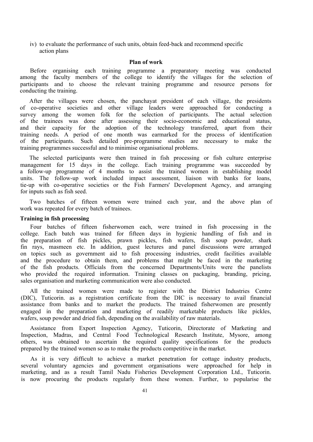iv) to evaluate the performance of such units, obtain feed-back and recommend specific action plans

#### **Plan of work**

Before organising each training programme a preparatory meeting was conducted among the faculty members of the college to identify the villages for the selection of participants and to choose the relevant training programme and resource persons for conducting the training.

After the villages were chosen, the panchayat president of each village, the presidents of co-operative societies and other village leaders were approached for conducting a survey among the women folk for the selection of participants. The actual selection of the trainees was done after assessing their socio-economic and educational status, and their capacity for the adoption of the technology transferred, apart from their training needs. A period of one month was earmarked for the process of identification of the participants. Such detailed pre-programme studies are necessary to make the training programmes successful and to minimise organisational problems.

The selected participants were then trained in fish processing or fish culture enterprise management for 15 days in the college. Each training programme was succeeded by a follow-up programme of 4 months to assist the trained women in establishing model units. The follow-up work included impact assessment, liaison with banks for loans, tie-up with co-operative societies or the Fish Farmers' Development Agency, and arranging for inputs such as fish seed.

Two batches of fifteen women were trained each year, and the above plan of work was repeated for every batch of trainees.

#### **Training in fish processing**

Four batches of fifteen fisherwomen each, were trained in fish processing in the college. Each batch was trained for fifteen days in hygienic handling of fish and in the preparation of fish pickles, prawn pickles, fish wafers, fish soup powder, shark fin rays, masmeen etc. In addition, guest lectures and panel discussions were arranged on topics such as government aid to fish processing industries, credit facilities available and the procedure to obtain them, and problems that might be faced in the marketing of the fish products. Officials from the concerned Departments/Units were the panelists who provided the required information. Training classes on packaging, branding, pricing, sales organisation and marketing communication were also conducted.

All the trained women were made to register with the District Industries Centre (DIC), Tuticorin. as a registration certificate from the DIC is necessary to avail financial assistance from banks and to market the products. The trained fisherwomen are presently engaged in the preparation and marketing of readily marketable products like pickles, wafers, soup powder and dried fish, depending on the availability of raw materials.

Assistance from Export Inspection Agency, Tuticorin, Directorate of Marketing and Inspection, Madras, and Central Food Technological Research Institute, Mysore, among others, was obtained to ascertain the required quality specifications for the products prepared by the trained women so as to make the products competitive in the market.

As it is very difficult to achieve a market penetration for cottage industry products, several voluntary agencies and government organisations were approached for help in marketing, and as a result Tamil Nadu Fisheries Development Corporation Ltd., Tuticorin. is now procuring the products regularly from these women. Further, to popularise the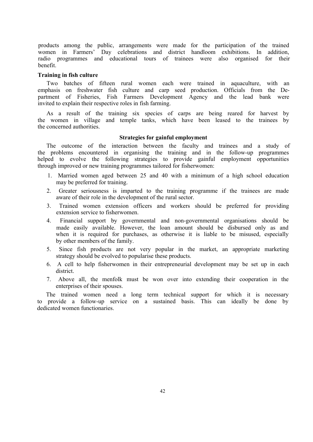products among the public, arrangements were made for the participation of the trained women in Farmers' Day celebrations and district handloom exhibitions. In addition, radio programmes and educational tours of trainees were also organised for their benefit.

#### **Training in fish culture**

Two batches of fifteen rural women each were trained in aquaculture, with an emphasis on freshwater fish culture and carp seed production. Officials from the Department of Fisheries, Fish Farmers Development Agency and the lead bank were invited to explain their respective roles in fish farming.

As a result of the training six species of carps are being reared for harvest by the women in village and temple tanks, which have been leased to the trainees by the concerned authorities.

#### **Strategies for gainful employment**

The outcome of the interaction between the faculty and trainees and a study of the problems encountered in organising the training and in the follow-up programmes helped to evolve the following strategies to provide gainful employment opportunities through improved or new training programmes tailored for fisherwomen:

- 1. Married women aged between 25 and 40 with a minimum of a high school education may be preferred for training.
- 2. Greater seriousness is imparted to the training programme if the trainees are made aware of their role in the development of the rural sector.
- 3. Trained women extension officers and workers should be preferred for providing extension service to fisherwomen.
- 4. Financial support by governmental and non-governmental organisations should be made easily available. However, the loan amount should be disbursed only as and when it is required for purchases, as otherwise it is liable to be misused, especially by other members of the family.
- 5. Since fish products are not very popular in the market, an appropriate marketing strategy should be evolved to popularise these products.
- 6. A cell to help fisherwomen in their entrepreneurial development may be set up in each district.
- 7. Above all, the menfolk must be won over into extending their cooperation in the enterprises of their spouses.

The trained women need a long term technical support for which it is necessary to provide a follow-up service on a sustained basis. This can ideally be done by dedicated women functionaries.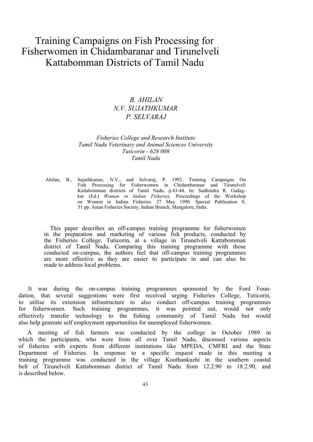## Training Campaigns on Fish Processing for Fisherwomen in Chidambaranar and Tirunelveli Kattabomman Districts of Tamil Nadu

### *B. AHILAN N.V. SUJATHKUMAR P. SELVARAJ*

#### <span id="page-42-0"></span>*Fisheries College and Research Institute Tamil Nadu Veterinary and Animal Sciences University Tuticorin - 628 008 Tamil Nadu*

Ahilan, B., Sujathkumar, N.V., and Selvaraj, P. 1992. Training Campaigns On Fish Processing for Fisherwomen in Chidambaranar and Tirunelveli Kattabomman districts of Tamil Nadu. p.43-44. In: Sudhindra R. Gadagkar (Ed.) *Woman in Indian Fisheries.* Proceedings of the Workshop on Women in Indian Fisheries. 27 May 1990. Special Publication 8, 51 pp. Asian Fisheries Society, Indian Branch, Mangalore, India.

This paper describes an off-campus training programme for fisherwomen in the preparation and marketing of various fish products, conducted by the Fisheries College, Tuticorin, at a village in Tirunelveli Kattabomman district of Tamil Nadu. Comparing this training programme with those conducted on-campus, the authors feel that off-campus training programmes are more effective as they are easier to participate in and can also be made to address local problems.

It was during the on-campus training programmes sponsored by the Ford Foundation, that several suggestions were first received urging Fisheries College, Tuticorin, to utilise its extension infrastructure to also conduct off-campus training programmes for fisherwomen. Such training programmes, it was pointed out, would not only for fisherwomen. Such training programmes, it was pointed out, would not only effectively transfer technology to the fishing community of Tamil Nadu but would also help generate self employment opportunities for unemployed fisherwomen.

A meeting of fish farmers was conducted by the college in October 1989 in which the participants, who were from all over Tamil Nadu, discussed various aspects of fisheries with experts from different institutions like MPEDA, CMFRI and the State Department of Fisheries. In response to a specific request made in this meeting a training programme was conducted in the village Koothankuzhi in the southern coastal belt of Tirunelveli Kattabomman district of Tamil Nadu from 12.2.90 to 18.2.90, and is described below.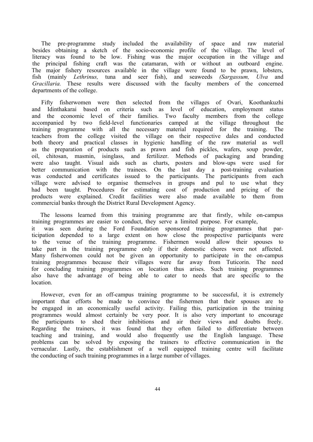The pre-programme study included the availability of space and raw material besides obtaining a sketch of the socio-economic profile of the village. The level of literacy was found to be low. Fishing was the major occupation in the village and the principal fishing craft was the catamaran, with or without an outboard engine. The major fishery resources available in the village were found to be prawn, lobsters, fish (mainly *Lethrinus,* tuna and seer fish), and seaweeds *(Sargassum, Ulva* and *Gracillaria.* These results were discussed with the faculty members of the concerned departments of the college.

Fifty fisherwomen were then selected from the villages of Ovari, Koothankuzhi and Idinthakarai based on criteria such as level of education, employment status and the economic level of their families. Two faculty members from the college accompanied by two field-level functionaries camped at the village throughout the training programme with all the necessary material required for the training. The teachers from the college visited the village on their respective dales and conducted both theory and practical classes in hygienic handling of the raw material as well as the preparation of products such as prawn and fish pickles, wafers, soup powder, oil, chitosan, masmin, isinglass, and fertilizer. Methods of packaging and branding were also taught. Visual aids such as charts, posters and blow-ups were used for better communication with the trainees. On the last day a post-training evaluation was conducted and certificates issued to the participants. The participants from each village were advised to organise themselves in groups and pul to use what they had been taught. Procedures for estimating cost of production and pricing of the products were explained. Credit facilities were also made available to them from commercial banks through the District Rural Development Agency.

The lessons learned from this training programme are that firstly, while on-campus training programmes are easier to conduct, they serve a limited purpose. For example, it was seen during the Ford Foundation sponsored training programmes that participation depended to a large extent on how close the prospective participants were to the venue of the training programme. Fishermen would allow their spouses to take part in the training programme only if their domestic chores were not affected. Many fisherwomen could not be given an opportunity to participate in the on-campus training programmes because their villages were far away from Tuticorin. The need for concluding training programmes on location thus arises. Such training programmes also have the advantage of being able to cater to needs that are specific to the location.

However, even for an off-campus training programme to be successful, it is extremely important that efforts be made to convince the fishermen that their spouses are to be engaged in an economically useful activity. Failing this, participation in the training programmes would almost certainly be very poor. It is also very important to encourage the participants to shed their inhibitions and air their views and doubts freely. Regarding the trainers, it was found that they often failed to differentiate between teaching and training, and would also frequently use the English language. These problems can be solved by exposing the trainers to effective communication in the vernacular. Lastly, the establishment of a well equipped training centre will facilitate the conducting of such training programmes in a large number of villages.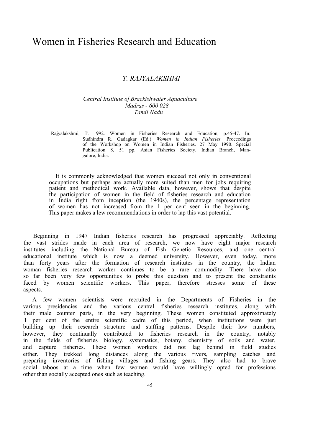### Women in Fisheries Research and Education

### <span id="page-44-0"></span>*T. RAJYALAKSHMI*

#### *Central Institute of Brackishwater Aquaculture Madras - 600 028 Tamil Nadu*

Rajyalakshmi, T. 1992. Women in Fisheries Research and Education, p.45-47. In: Sudhindra R. Gadagkar (Ed.) *Women in Indian Fisheries.* Proceedings of the Workshop on Women in Indian Fisheries. 27 May 1990. Special Publication 8, 51 pp. Asian Fisheries Society, Indian Branch, Mangalore, India.

It is commonly acknowledged that women succeed not only in conventional occupations but perhaps are actually more suited than men for jobs requiring patient and methodical work. Available data, however, shows that despite the participation of women in the field of fisheries research and education in India right from inception (the 1940s), the percentage representation of women has not increased from the 1 per cent seen in the beginning. This paper makes a lew recommendations in order to lap this vast potential.

Beginning in 1947 Indian fisheries research has progressed appreciably. Reflecting the vast strides made in each area of research, we now have eight major research institutes including the National Bureau of Fish Genetic Resources, and one central educational institute which is now a deemed university. However, even today, more than forty years after the formation of research institutes in the country, the Indian woman fisheries research worker continues to be a rare commodity. There have also so far been very few opportunities to probe this question and to present the constraints faced by women scientific workers. This paper, therefore stresses some of these aspects.

A few women scientists were recruited in the Departments of Fisheries in the various presidencies and the various central fisheries research institutes, along with their male counter parts, in the very beginning. These women constituted approximately 1 per cent of the entire scientific cadre of this period, when institutions were just building up their research structure and staffing patterns. Despile their low numbers, however, they continually contributed to fisheries research in the country, notably in the fields of fisheries biology, systematics, botany, chemistry of soils and water, and capture fisheries. These women workers did not lag behind in field studies either. They trekked long distances along the various rivers, sampling catches and preparing inventories of fishing villages and fishing gears. They also had to brave social taboos at a time when few women would have willingly opted for professions other than socially accepted ones such as teaching.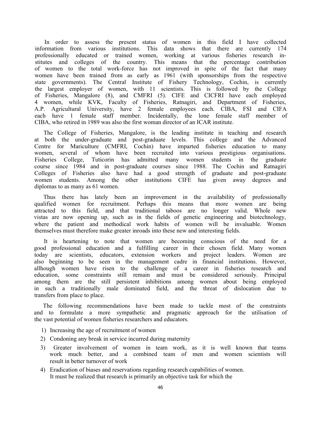In order to assess the present status of women in this field I have collected information from various institutions. This data shows that there are currently 174 professionally educated or trained women, working at various fisheries research institutes and colleges of the country. This means that the percentage contribution of women to the total work-force has not improved in spite of the fact that many women have been trained from as early as 1961 (with sponsorships from the respective state governments). The Central Institute of Fishery Technology, Cochin, is currently the largest employer of women, with 11 scientists. This is followed by the College of Fisheries, Mangalore (8), and CMFRI (5). CIFE and CICFRI have each employed 4 women, while KVK, Faculty of Fisheries, Ratnagiri, and Department of Fisheries, A.P. Agricultural University, have 2 female employees each. CIBA, FSI and CIFA each have 1 female staff member. Incidentally, the lone female staff member of CIBA, who retired in 1989 was also the first woman director of an ICAR institute.

The College of Fisheries, Mangalore, is the leading institute in teaching and research at both the under-graduate and post-graduate levels. This college and the Advanced Centre for Mariculture (CMFRI, Cochin) have imparted fisheries education to many women, several of whom have been recruited into various prestigious organisations. Fisheries College, Tuticorin has admitted many women students in the graduate course since 1984 and in post-graduate courses since 1988. The Cochin and Ratnagiri Colleges of Fisheries also have had a good strength of graduate and post-graduate women students. Among the other institutions CIFE has given away degrees and diplomas to as many as 61 women.

Thus there has lately been an improvement in the availability of professionally qualified women for recruitment. Perhaps this means that more women are being attracted to this field, and that traditional taboos are no longer valid. Whole new vistas are now opening up, such as in the fields of genetic engineering and biotechnology, where the patient and methodical work habits of women will be invaluable. Women themselves must therefore make greater inroads into these new and interesting fields.

It is heartening to note that women are becoming conscious of the need for a good professional education and a fulfilling career in their chosen field. Many women today are scientists, educators, extension workers and project leaders. Women are also beginning to be seen in the management cadre in financial institutions. However, allhough women have risen to the challenge of a career in fisheries research and education, some constraints still remain and must be considered seriously. Principal among them are the still persistent inhibitions among women about being employed in such a traditionally male dominated field, and the threat of dislocation due to transfers from place to place.

The following recommendations have been made to tackle most of the constraints and to formulate a more sympathetic and pragmatic approach for the utilisation of the vast potential of women fisheries researchers and educators.

- 1) Increasing the age of recruitment of women
- 2) Condoning any break in service incurred during maternity
- 3) Greater involvement of women in team work, as it is well known that teams work much better, and a combined team of men and women scientists will result in better turnover of work
- 4) Eradication of biases and reservations regarding research capabilities of women. It must be realized that research is primarily an objective task for which the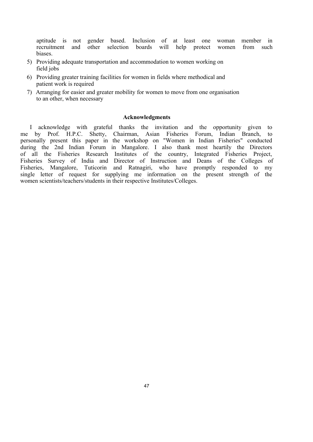aptitude is not gender based. Inclusion of at least one woman member in recruitment and other selection boards will help protect women from such biases.

- 5) Providing adequate transportation and accommodation to women working on field jobs
- 6) Providing greater training facilities for women in fields where methodical and patient work is required
- 7) Arranging for easier and greater mobility for women to move from one organisation to an other, when necessary

#### **Acknowledgments**

I acknowledge with grateful thanks the invitation and the opportunity given to me by Prof. H.P.C. Shetty, Chairman, Asian Fisheries Forum, Indian Branch, to personally present this paper in the workshop on "Women in Indian Fisheries" conducted during the 2nd Indian Forum in Mangalore. I also thank most heartily the Directors of all the Fisheries Research Institutes of the country, Integrated Fisheries Project, Fisheries Survey of India and Director of Instruction and Deans of the Colleges of Fisheries, Mangalore, Tuticorin and Ratnagiri, who have promptly responded to my single letter of request for supplying me information on the present strength of the women scientists/teachers/students in their respective Institutes/Colleges.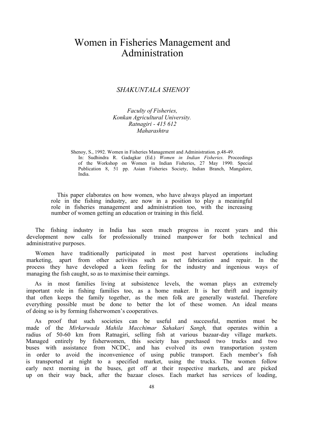## Women in Fisheries Management and Administration

### <span id="page-47-0"></span>*SHAKUNTALA SHENOY*

*Faculty of Fisheries, Konkan Agricultural University. Ratnagiri - 415 612 Maharashtra*

Shenoy, S., 1992. Women in Fisheries Management and Administration. p.48-49. In: Sudhindra R. Gadagkar (Ed.) *Women in Indian Fisheries.* Proceedings of the Workshop on Women in Indian Fisheries, 27 May 1990. Special Publication 8, 51 pp. Asian Fisheries Society, Indian Branch, Mangalore, India.

This paper elaborates on how women, who have always played an important role in the fishing industry, are now in a position to play a meaningful role in fisheries management and administration too, with the increasing number of women getting an education or training in this field.

The fishing industry in India has seen much progress in recent years and this development now calls for professionally trained manpower for both technical and administrative purposes.

Women have traditionally participated in most post harvest operations including marketing, apart from other activities such as net fabrication and repair. In the process they have developed a keen feeling for the industry and ingenious ways of managing the fish caught, so as to maximise their earnings.

As in most families living at subsistence levels, the woman plays an extremely important role in fishing families too, as a home maker. It is her thrift and ingenuity that often keeps the family together, as the men folk are generally wasteful. Therefore everything possible must be done to better the lot of these women. An ideal means of doing so is by forming fisherwomen's cooperatives.

As proof that such societies can be useful and successful, mention must be made of the *Mirkarwada Mahila Macchimar Sahakari Sangh,* that operates within a radius of 50-60 km from Ratnagiri, selling fish at various bazaar-day village markets. Managed entirely by fisherwomen, this society has purchased two trucks and two buses with assistance from NCDC, and has evolved its own transportation system in order to avoid the inconvenience of using public transport. Each member's fish is transported at night to a specified market, using the trucks. The women follow early next morning in the buses, get off at their respective markets, and are picked up on their way back, after the bazaar closes. Each market has services of loading,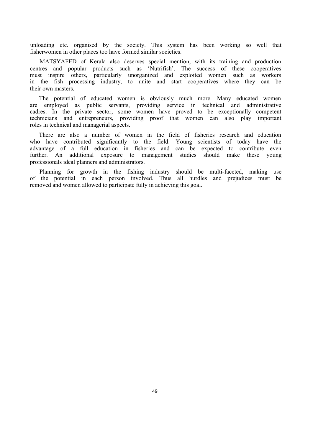unloading etc. organised by the society. This system has been working so well that fisherwomen in other places too have formed similar societies.

MATSYAFED of Kerala also deserves special mention, with its training and production centres and popular products such as 'Nutrifish'. The success of these cooperatives must inspire others, particularly unorganized and exploited women such as workers in the fish processing industry, to unite and start cooperatives where they can be their own masters.

The potential of educated women is obviously much more. Many educated women are employed as public servants, providing service in technical and administrative cadres. In the private sector, some women have proved to be exceptionally competent technicians and entrepreneurs, providing proof that women can also play important roles in technical and managerial aspects.

There are also a number of women in the field of fisheries research and education who have contributed significantly to the field. Young scientists of today have the advantage of a full education in fisheries and can be expected to contribute even further. An additional exposure to management studies should make these young professionals ideal planners and administrators.

Planning for growth in the fishing industry should be multi-faceted, making use of the potential in each person involved. Thus all hurdles and prejudices must be removed and women allowed to participate fully in achieving this goal.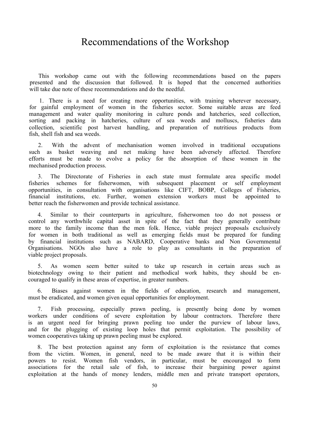## <span id="page-49-0"></span>Recommendations of the Workshop

This workshop came out with the following recommendations based on the papers presented and the discussion that followed. It is hoped that the concerned authorities will take due note of these recommendations and do the needful.

1. There is a need for creating more opportunities, with training wherever necessary, for gainful employment of women in the fisheries sector. Some suitable areas are feed management and water quality monitoring in culture ponds and hatcheries, seed collection, sorting and packing in hatcheries, culture of sea weeds and molluscs, fisheries data collection, scientific post harvest handling, and preparation of nutritious products from fish, shell fish and sea weeds.

2. With the advent of mechanisation women involved in traditional occupations such as basket weaving and net making have been adversely affected. Therefore efforts must be made to evolve a policy for the absorption of these women in the mechanised production process.

3. The Directorate of Fisheries in each state must formulate area specific model fisheries schemes for fisherwomen, with subsequent placement or self employment opportunities, in consultation with organisations like CIFT, BOBP, Colleges of Fisheries, financial institutions, etc. Further, women extension workers must be appointed to better reach the fisherwomen and provide technical assistance.

4. Similar to their counterparts in agriculture, fisherwomen too do not possess or control any worthwhile capital asset in spite of the fact that they generally contribute more to the family income than the men folk. Hence, viable project proposals exclusively for women in both traditional as well as emerging fields must be prepared for funding by financial institutions such as NABARD, Cooperative banks and Non Governmental Organisations. NGOs also have a role to play as consultants in the preparation of viable project proposals.

5. As women seem better suited to take up research in certain areas such as biotechnology owing to their patient and methodical work habits, they should be encouraged to qualify in these areas of expertise, in greater numbers.

6. Biases against women in the fields of education, research and management, must be eradicated, and women given equal opportunities for employment.

7. Fish processing, especially prawn peeling, is presently being done by women workers under conditions of severe exploitation by labour contractors. Therefore there is an urgent need for bringing prawn peeling too under the purview of labour laws, and for the plugging of existing loop holes that permit exploitation. The possibility of women cooperatives taking up prawn peeling must be explored.

8. The best protection against any form of exploitation is the resistance that comes from the victim. Women, in general, need to be made aware that it is within their powers to resist. Women fish vendors, in particular, must be encouraged to form associations for the retail sale of fish, to increase their bargaining power against exploitation at the hands of money lenders, middle men and private transport operators,